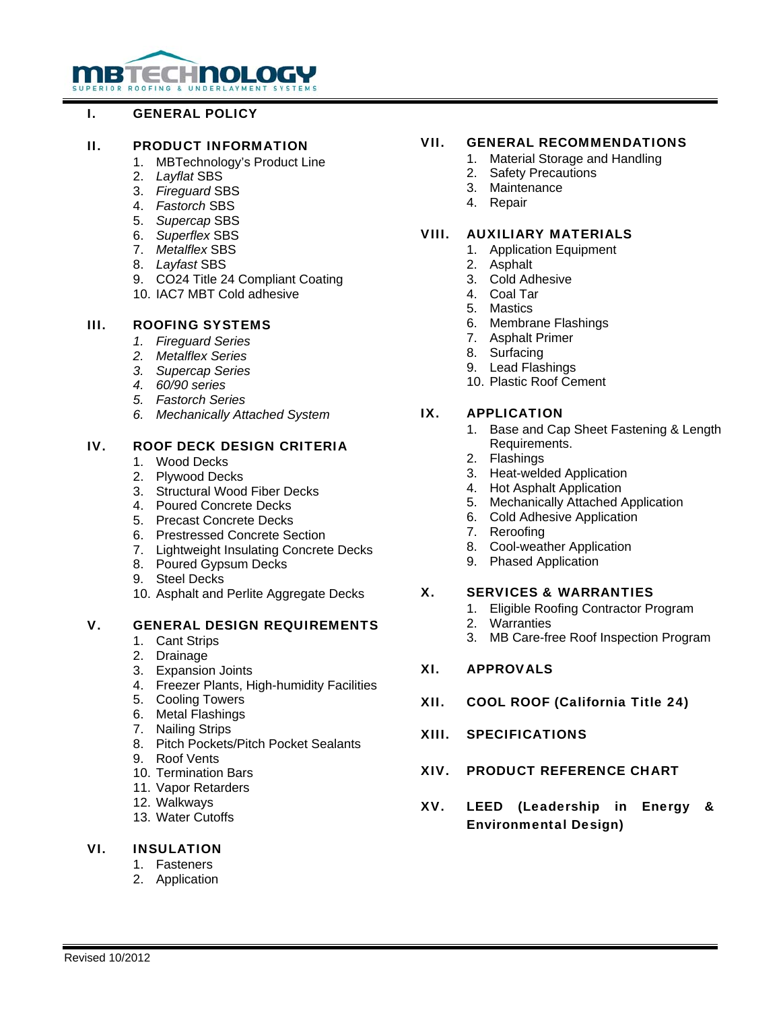# **MBTECHNOLOGY**

# I. GENERAL POLICY

## II. PRODUCT INFORMATION

- 1. MBTechnology's Product Line
- 2. *Layflat* SBS
- 3. *Fireguard* SBS
- 4. *Fastorch* SBS
- 5. *Supercap* SBS
- 6. *Superflex* SBS
- 7. *Metalflex* SBS
- 8. *Layfast* SBS
- 9. CO24 Title 24 Compliant Coating
- 10. IAC7 MBT Cold adhesive

# III. ROOFING SYSTEMS

- *1. Fireguard Series*
- *2. Metalflex Series*
- *3. Supercap Series*
- *4. 60/90 series*
- *5. Fastorch Series*
- *6. Mechanically Attached System*

# IV. ROOF DECK DESIGN CRITERIA

- 1. Wood Decks
- 2. Plywood Decks
- 3. Structural Wood Fiber Decks
- 4. Poured Concrete Decks
- 5. Precast Concrete Decks
- 6. Prestressed Concrete Section
- 7. Lightweight Insulating Concrete Decks
- 8. Poured Gypsum Decks
- 9. Steel Decks
- 10. Asphalt and Perlite Aggregate Decks

# V. GENERAL DESIGN REQUIREMENTS

- 1. Cant Strips
- 2. Drainage
- 3. Expansion Joints
- 4. Freezer Plants, High-humidity Facilities
- 5. Cooling Towers
- 6. Metal Flashings
- 7. Nailing Strips
- 8. Pitch Pockets/Pitch Pocket Sealants
- 9. Roof Vents
- 10. Termination Bars
- 11. Vapor Retarders
- 12. Walkways
- 13. Water Cutoffs

# VI. INSULATION

- 1. Fasteners
- 2. Application

# VII. GENERAL RECOMMENDATIONS

- 1. Material Storage and Handling
- 2. Safety Precautions
- 3. Maintenance
- 4. Repair

# VIII. AUXILIARY MATERIALS

- 1. Application Equipment
- 2. Asphalt
- 3. Cold Adhesive
- 4. Coal Tar
- 5. Mastics
- 6. Membrane Flashings
- 7. Asphalt Primer
- 8. Surfacing
- 9. Lead Flashings
- 10. Plastic Roof Cement

# IX. APPLICATION

- 1. Base and Cap Sheet Fastening & Length Requirements.
- 2. Flashings
- 3. Heat-welded Application
- 4. Hot Asphalt Application
- 5. Mechanically Attached Application
- 6. Cold Adhesive Application
- 7. Reroofing
- 8. Cool-weather Application
- 9. Phased Application

#### X. SERVICES & WARRANTIES

- 1. Eligible Roofing Contractor Program
- 2. Warranties
- 3. MB Care-free Roof Inspection Program

#### XI. APPROVALS

- XII. COOL ROOF (California Title 24)
- XIII. SPECIFICATIONS
- XIV. PRODUCT REFERENCE CHART
- XV. LEED (Leadership in Energy & Environmental Design)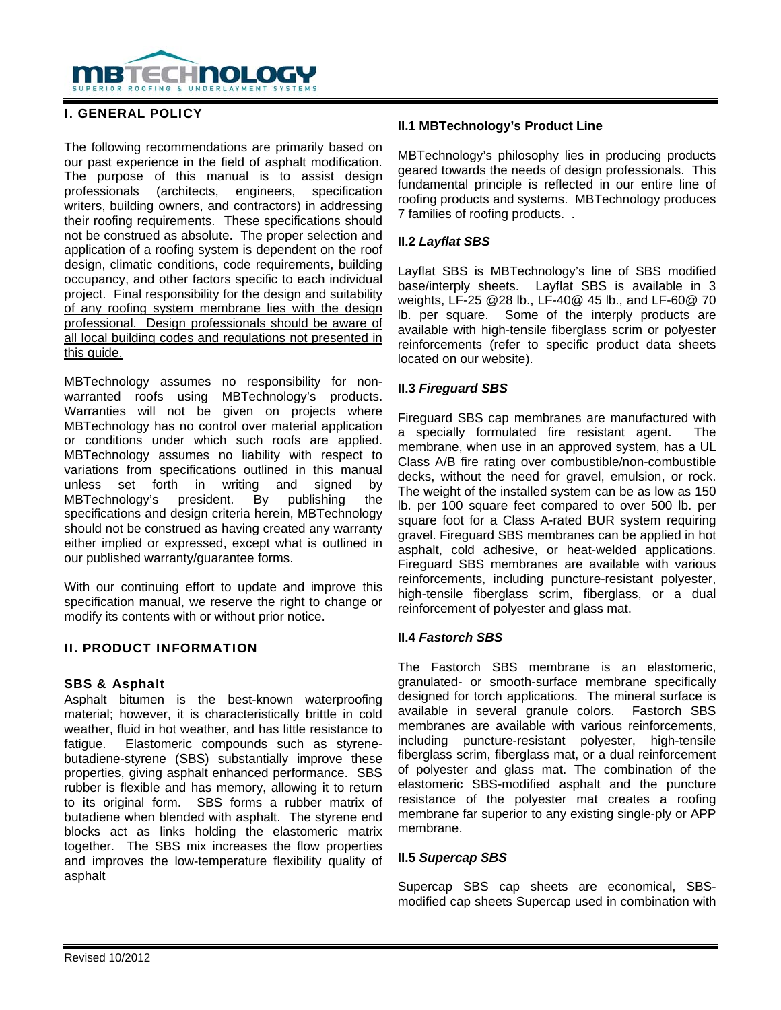

# I. GENERAL POLICY

The following recommendations are primarily based on our past experience in the field of asphalt modification. The purpose of this manual is to assist design professionals (architects, engineers, specification writers, building owners, and contractors) in addressing their roofing requirements. These specifications should not be construed as absolute. The proper selection and application of a roofing system is dependent on the roof design, climatic conditions, code requirements, building occupancy, and other factors specific to each individual project. Final responsibility for the design and suitability of any roofing system membrane lies with the design professional. Design professionals should be aware of all local building codes and regulations not presented in this guide.

MBTechnology assumes no responsibility for nonwarranted roofs using MBTechnology's products. Warranties will not be given on projects where MBTechnology has no control over material application or conditions under which such roofs are applied. MBTechnology assumes no liability with respect to variations from specifications outlined in this manual unless set forth in writing and signed by MBTechnology's president. By publishing the specifications and design criteria herein, MBTechnology should not be construed as having created any warranty either implied or expressed, except what is outlined in our published warranty/guarantee forms.

With our continuing effort to update and improve this specification manual, we reserve the right to change or modify its contents with or without prior notice.

# II. PRODUCT INFORMATION

#### SBS & Asphalt

Asphalt bitumen is the best-known waterproofing material; however, it is characteristically brittle in cold weather, fluid in hot weather, and has little resistance to fatigue. Elastomeric compounds such as styrenebutadiene-styrene (SBS) substantially improve these properties, giving asphalt enhanced performance. SBS rubber is flexible and has memory, allowing it to return to its original form. SBS forms a rubber matrix of butadiene when blended with asphalt. The styrene end blocks act as links holding the elastomeric matrix together. The SBS mix increases the flow properties and improves the low-temperature flexibility quality of asphalt

## **II.1 MBTechnology's Product Line**

MBTechnology's philosophy lies in producing products geared towards the needs of design professionals. This fundamental principle is reflected in our entire line of roofing products and systems. MBTechnology produces 7 families of roofing products. .

## **II.2** *Layflat SBS*

Layflat SBS is MBTechnology's line of SBS modified base/interply sheets. Layflat SBS is available in 3 weights, LF-25 @28 lb., LF-40@ 45 lb., and LF-60@ 70 lb. per square. Some of the interply products are available with high-tensile fiberglass scrim or polyester reinforcements (refer to specific product data sheets located on our website).

## **II.3** *Fireguard SBS*

Fireguard SBS cap membranes are manufactured with a specially formulated fire resistant agent. The membrane, when use in an approved system, has a UL Class A/B fire rating over combustible/non-combustible decks, without the need for gravel, emulsion, or rock. The weight of the installed system can be as low as 150 lb. per 100 square feet compared to over 500 lb. per square foot for a Class A-rated BUR system requiring gravel. Fireguard SBS membranes can be applied in hot asphalt, cold adhesive, or heat-welded applications. Fireguard SBS membranes are available with various reinforcements, including puncture-resistant polyester, high-tensile fiberglass scrim, fiberglass, or a dual reinforcement of polyester and glass mat.

#### **II.4** *Fastorch SBS*

The Fastorch SBS membrane is an elastomeric, granulated- or smooth-surface membrane specifically designed for torch applications. The mineral surface is available in several granule colors. Fastorch SBS membranes are available with various reinforcements, including puncture-resistant polyester, high-tensile fiberglass scrim, fiberglass mat, or a dual reinforcement of polyester and glass mat. The combination of the elastomeric SBS-modified asphalt and the puncture resistance of the polyester mat creates a roofing membrane far superior to any existing single-ply or APP membrane.

#### **II.5** *Supercap SBS*

Supercap SBS cap sheets are economical, SBSmodified cap sheets Supercap used in combination with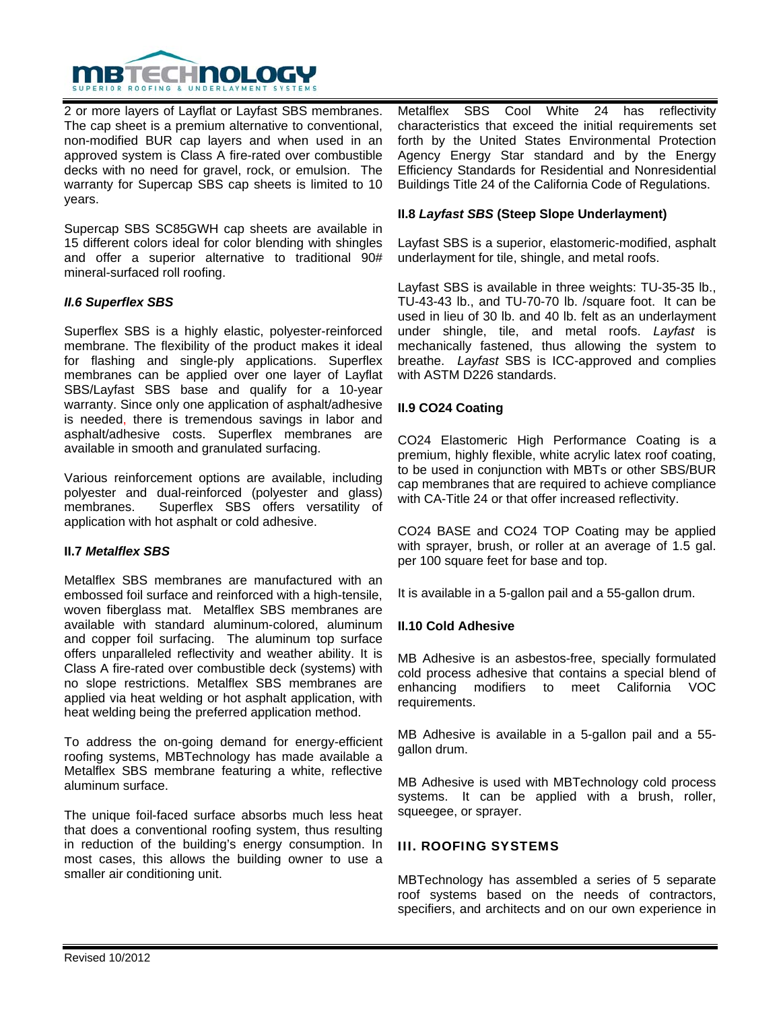

2 or more layers of Layflat or Layfast SBS membranes. The cap sheet is a premium alternative to conventional, non-modified BUR cap layers and when used in an approved system is Class A fire-rated over combustible decks with no need for gravel, rock, or emulsion. The warranty for Supercap SBS cap sheets is limited to 10 years.

Supercap SBS SC85GWH cap sheets are available in 15 different colors ideal for color blending with shingles and offer a superior alternative to traditional 90# mineral-surfaced roll roofing.

## *II.6 Superflex SBS*

Superflex SBS is a highly elastic, polyester-reinforced membrane. The flexibility of the product makes it ideal for flashing and single-ply applications. Superflex membranes can be applied over one layer of Layflat SBS/Layfast SBS base and qualify for a 10-year warranty. Since only one application of asphalt/adhesive is needed, there is tremendous savings in labor and asphalt/adhesive costs. Superflex membranes are available in smooth and granulated surfacing.

Various reinforcement options are available, including polyester and dual-reinforced (polyester and glass) membranes. Superflex SBS offers versatility of application with hot asphalt or cold adhesive.

#### **II.7** *Metalflex SBS*

Metalflex SBS membranes are manufactured with an embossed foil surface and reinforced with a high-tensile, woven fiberglass mat. Metalflex SBS membranes are available with standard aluminum-colored, aluminum and copper foil surfacing. The aluminum top surface offers unparalleled reflectivity and weather ability. It is Class A fire-rated over combustible deck (systems) with no slope restrictions. Metalflex SBS membranes are applied via heat welding or hot asphalt application, with heat welding being the preferred application method.

To address the on-going demand for energy-efficient roofing systems, MBTechnology has made available a Metalflex SBS membrane featuring a white, reflective aluminum surface.

The unique foil-faced surface absorbs much less heat that does a conventional roofing system, thus resulting in reduction of the building's energy consumption. In most cases, this allows the building owner to use a smaller air conditioning unit.

Metalflex SBS Cool White 24 has reflectivity characteristics that exceed the initial requirements set forth by the United States Environmental Protection Agency Energy Star standard and by the Energy Efficiency Standards for Residential and Nonresidential Buildings Title 24 of the California Code of Regulations.

## **II.8** *Layfast SBS* **(Steep Slope Underlayment)**

Layfast SBS is a superior, elastomeric-modified, asphalt underlayment for tile, shingle, and metal roofs.

Layfast SBS is available in three weights: TU-35-35 lb., TU-43-43 lb., and TU-70-70 lb. /square foot. It can be used in lieu of 30 lb. and 40 lb. felt as an underlayment under shingle, tile, and metal roofs. *Layfast* is mechanically fastened, thus allowing the system to breathe. *Layfast* SBS is ICC-approved and complies with ASTM D226 standards.

## **II.9 CO24 Coating**

CO24 Elastomeric High Performance Coating is a premium, highly flexible, white acrylic latex roof coating, to be used in conjunction with MBTs or other SBS/BUR cap membranes that are required to achieve compliance with CA-Title 24 or that offer increased reflectivity.

CO24 BASE and CO24 TOP Coating may be applied with sprayer, brush, or roller at an average of 1.5 gal. per 100 square feet for base and top.

It is available in a 5-gallon pail and a 55-gallon drum.

#### **II.10 Cold Adhesive**

MB Adhesive is an asbestos-free, specially formulated cold process adhesive that contains a special blend of enhancing modifiers to meet California VOC requirements.

MB Adhesive is available in a 5-gallon pail and a 55 gallon drum.

MB Adhesive is used with MBTechnology cold process systems. It can be applied with a brush, roller, squeegee, or sprayer.

#### III. ROOFING SYSTEMS

MBTechnology has assembled a series of 5 separate roof systems based on the needs of contractors, specifiers, and architects and on our own experience in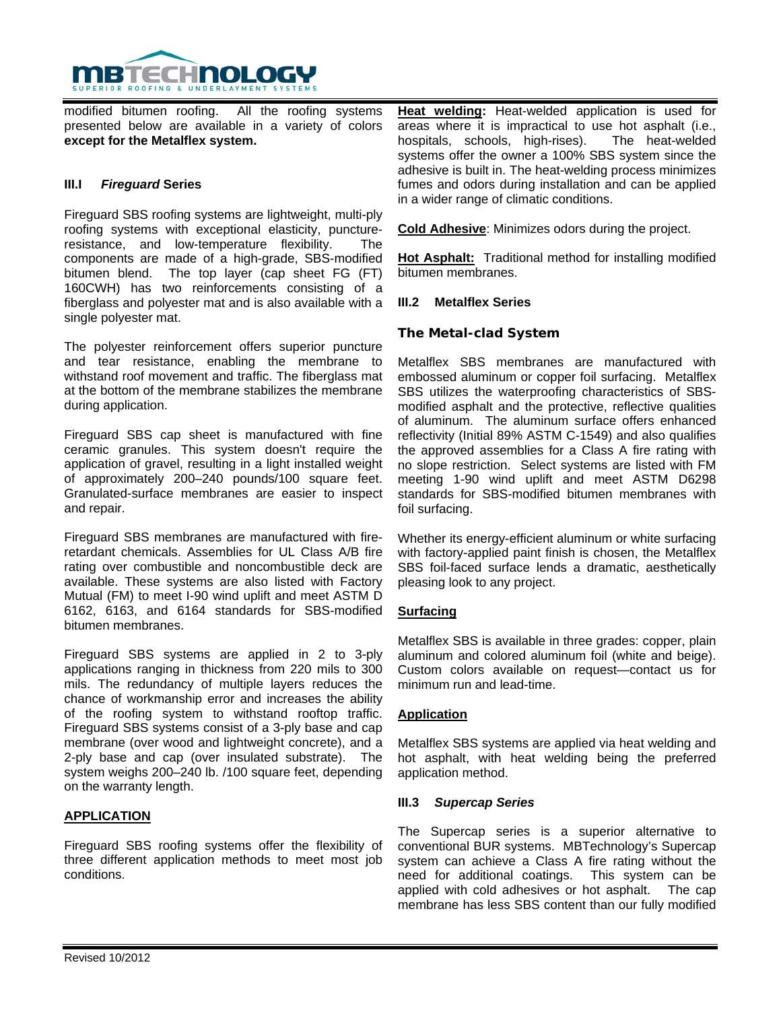

modified bitumen roofing. All the roofing systems presented below are available in a variety of colors **except for the Metalflex system.**

## **III.I** *Fireguard* **Series**

Fireguard SBS roofing systems are lightweight, multi-ply roofing systems with exceptional elasticity, punctureresistance, and low-temperature flexibility. The components are made of a high-grade, SBS-modified bitumen blend. The top layer (cap sheet FG (FT) 160CWH) has two reinforcements consisting of a fiberglass and polyester mat and is also available with a single polyester mat.

The polyester reinforcement offers superior puncture and tear resistance, enabling the membrane to withstand roof movement and traffic. The fiberglass mat at the bottom of the membrane stabilizes the membrane during application.

Fireguard SBS cap sheet is manufactured with fine ceramic granules. This system doesn't require the application of gravel, resulting in a light installed weight of approximately 200–240 pounds/100 square feet. Granulated-surface membranes are easier to inspect and repair.

Fireguard SBS membranes are manufactured with fireretardant chemicals. Assemblies for UL Class A/B fire rating over combustible and noncombustible deck are available. These systems are also listed with Factory Mutual (FM) to meet I-90 wind uplift and meet ASTM D 6162, 6163, and 6164 standards for SBS-modified bitumen membranes.

Fireguard SBS systems are applied in 2 to 3-ply applications ranging in thickness from 220 mils to 300 mils. The redundancy of multiple layers reduces the chance of workmanship error and increases the ability of the roofing system to withstand rooftop traffic. Fireguard SBS systems consist of a 3-ply base and cap membrane (over wood and lightweight concrete), and a 2-ply base and cap (over insulated substrate). The system weighs 200–240 lb. /100 square feet, depending on the warranty length.

#### **APPLICATION**

Fireguard SBS roofing systems offer the flexibility of three different application methods to meet most job conditions.

**Heat welding:** Heat-welded application is used for areas where it is impractical to use hot asphalt (i.e., hospitals, schools, high-rises). The heat-welded systems offer the owner a 100% SBS system since the adhesive is built in. The heat-welding process minimizes fumes and odors during installation and can be applied in a wider range of climatic conditions.

**Cold Adhesive**: Minimizes odors during the project.

**Hot Asphalt:** Traditional method for installing modified bitumen membranes.

#### **III.2 Metalflex Series**

## **The Metal-clad System**

Metalflex SBS membranes are manufactured with embossed aluminum or copper foil surfacing. Metalflex SBS utilizes the waterproofing characteristics of SBSmodified asphalt and the protective, reflective qualities of aluminum. The aluminum surface offers enhanced reflectivity (Initial 89% ASTM C-1549) and also qualifies the approved assemblies for a Class A fire rating with no slope restriction. Select systems are listed with FM meeting 1-90 wind uplift and meet ASTM D6298 standards for SBS-modified bitumen membranes with foil surfacing.

Whether its energy-efficient aluminum or white surfacing with factory-applied paint finish is chosen, the Metalflex SBS foil-faced surface lends a dramatic, aesthetically pleasing look to any project.

#### **Surfacing**

Metalflex SBS is available in three grades: copper, plain aluminum and colored aluminum foil (white and beige). Custom colors available on request—contact us for minimum run and lead-time.

# **Application**

Metalflex SBS systems are applied via heat welding and hot asphalt, with heat welding being the preferred application method.

#### **III.3** *Supercap Series*

The Supercap series is a superior alternative to conventional BUR systems. MBTechnology's Supercap system can achieve a Class A fire rating without the need for additional coatings. This system can be applied with cold adhesives or hot asphalt. The cap membrane has less SBS content than our fully modified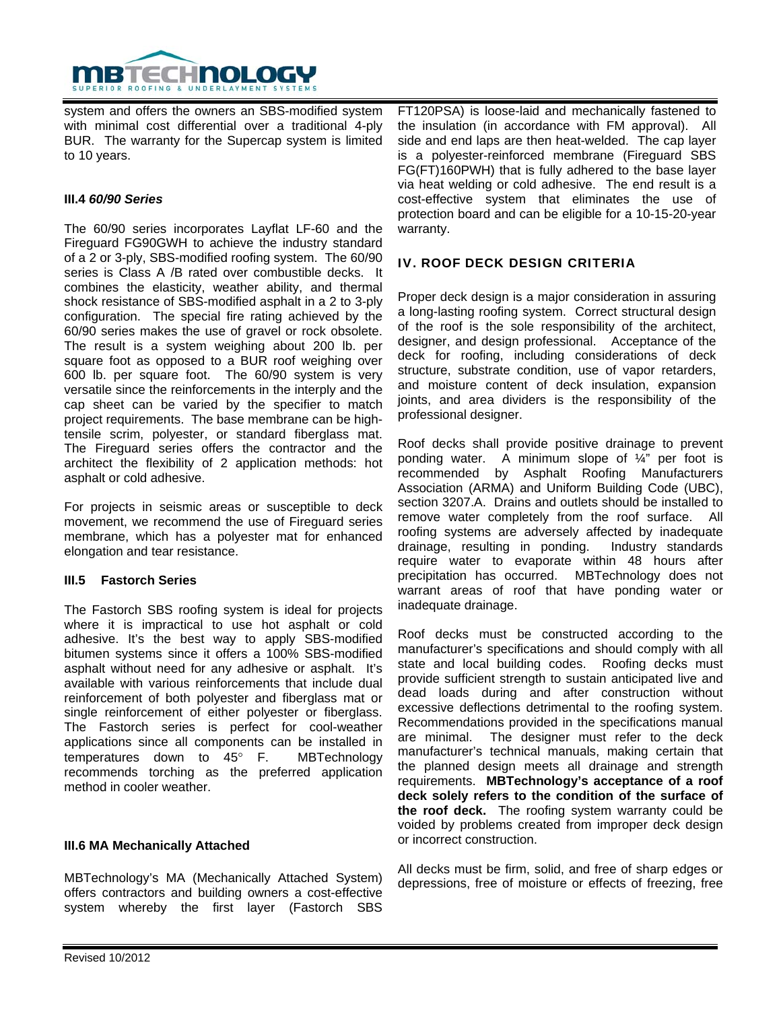

system and offers the owners an SBS-modified system with minimal cost differential over a traditional 4-ply BUR. The warranty for the Supercap system is limited to 10 years.

# **III.4** *60/90 Series*

The 60/90 series incorporates Layflat LF-60 and the Fireguard FG90GWH to achieve the industry standard of a 2 or 3-ply, SBS-modified roofing system. The 60/90 series is Class A /B rated over combustible decks. It combines the elasticity, weather ability, and thermal shock resistance of SBS-modified asphalt in a 2 to 3-ply configuration. The special fire rating achieved by the 60/90 series makes the use of gravel or rock obsolete. The result is a system weighing about 200 lb. per square foot as opposed to a BUR roof weighing over 600 lb. per square foot. The 60/90 system is very versatile since the reinforcements in the interply and the cap sheet can be varied by the specifier to match project requirements. The base membrane can be hightensile scrim, polyester, or standard fiberglass mat. The Fireguard series offers the contractor and the architect the flexibility of 2 application methods: hot asphalt or cold adhesive.

For projects in seismic areas or susceptible to deck movement, we recommend the use of Fireguard series membrane, which has a polyester mat for enhanced elongation and tear resistance.

#### **III.5 Fastorch Series**

The Fastorch SBS roofing system is ideal for projects where it is impractical to use hot asphalt or cold adhesive. It's the best way to apply SBS-modified bitumen systems since it offers a 100% SBS-modified asphalt without need for any adhesive or asphalt. It's available with various reinforcements that include dual reinforcement of both polyester and fiberglass mat or single reinforcement of either polyester or fiberglass. The Fastorch series is perfect for cool-weather applications since all components can be installed in temperatures down to 45° F. MBTechnology recommends torching as the preferred application method in cooler weather.

#### **III.6 MA Mechanically Attached**

MBTechnology's MA (Mechanically Attached System) offers contractors and building owners a cost-effective system whereby the first layer (Fastorch SBS

FT120PSA) is loose-laid and mechanically fastened to the insulation (in accordance with FM approval). All side and end laps are then heat-welded. The cap layer is a polyester-reinforced membrane (Fireguard SBS FG(FT)160PWH) that is fully adhered to the base layer via heat welding or cold adhesive. The end result is a cost-effective system that eliminates the use of protection board and can be eligible for a 10-15-20-year warranty.

# IV. ROOF DECK DESIGN CRITERIA

Proper deck design is a major consideration in assuring a long-lasting roofing system. Correct structural design of the roof is the sole responsibility of the architect, designer, and design professional. Acceptance of the deck for roofing, including considerations of deck structure, substrate condition, use of vapor retarders, and moisture content of deck insulation, expansion joints, and area dividers is the responsibility of the professional designer.

Roof decks shall provide positive drainage to prevent ponding water. A minimum slope of ¼" per foot is recommended by Asphalt Roofing Manufacturers Association (ARMA) and Uniform Building Code (UBC), section 3207.A. Drains and outlets should be installed to remove water completely from the roof surface. All roofing systems are adversely affected by inadequate drainage, resulting in ponding. Industry standards require water to evaporate within 48 hours after precipitation has occurred. MBTechnology does not warrant areas of roof that have ponding water or inadequate drainage.

Roof decks must be constructed according to the manufacturer's specifications and should comply with all state and local building codes. Roofing decks must provide sufficient strength to sustain anticipated live and dead loads during and after construction without excessive deflections detrimental to the roofing system. Recommendations provided in the specifications manual are minimal. The designer must refer to the deck manufacturer's technical manuals, making certain that the planned design meets all drainage and strength requirements. **MBTechnology's acceptance of a roof deck solely refers to the condition of the surface of the roof deck.** The roofing system warranty could be voided by problems created from improper deck design or incorrect construction.

All decks must be firm, solid, and free of sharp edges or depressions, free of moisture or effects of freezing, free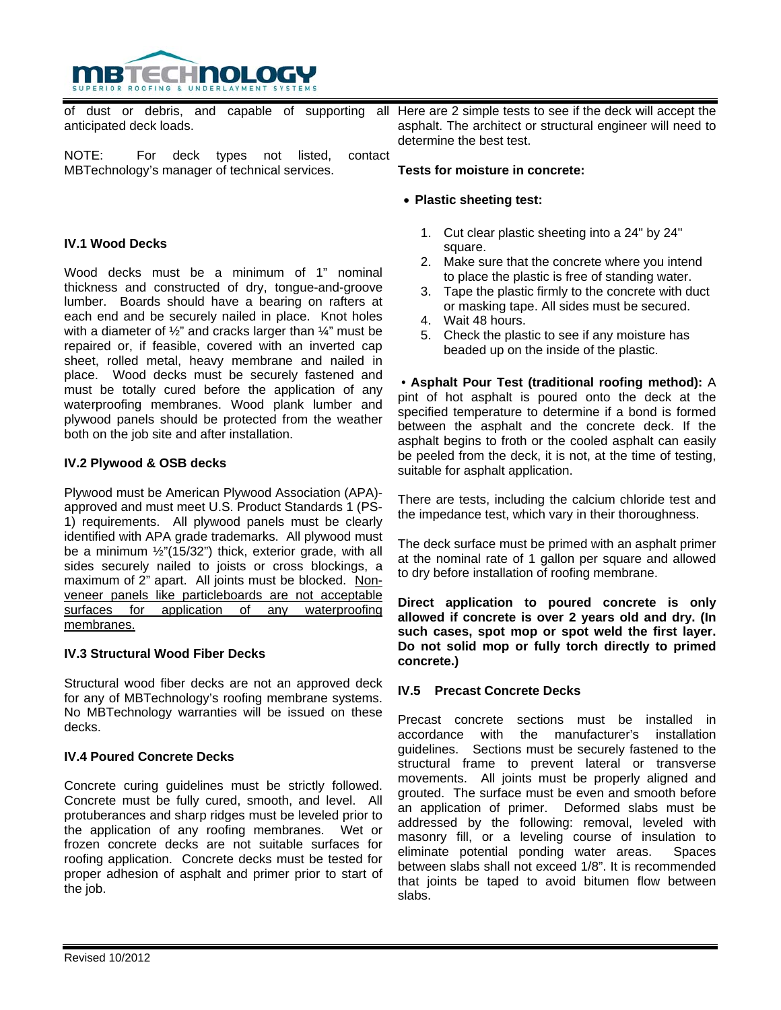

of dust or debris, and capable of supporting anticipated deck loads.

NOTE: For deck types not listed, contact MBTechnology's manager of technical services.

# **IV.1 Wood Decks**

Wood decks must be a minimum of 1" nominal thickness and constructed of dry, tongue-and-groove lumber. Boards should have a bearing on rafters at each end and be securely nailed in place. Knot holes with a diameter of 1/2" and cracks larger than 1/4" must be repaired or, if feasible, covered with an inverted cap sheet, rolled metal, heavy membrane and nailed in place. Wood decks must be securely fastened and must be totally cured before the application of any waterproofing membranes. Wood plank lumber and plywood panels should be protected from the weather both on the job site and after installation.

## **IV.2 Plywood & OSB decks**

Plywood must be American Plywood Association (APA) approved and must meet U.S. Product Standards 1 (PS-1) requirements. All plywood panels must be clearly identified with APA grade trademarks. All plywood must be a minimum ½"(15/32") thick, exterior grade, with all sides securely nailed to joists or cross blockings, a maximum of 2" apart. All joints must be blocked. Nonveneer panels like particleboards are not acceptable surfaces for application of any waterproofing membranes.

#### **IV.3 Structural Wood Fiber Decks**

Structural wood fiber decks are not an approved deck for any of MBTechnology's roofing membrane systems. No MBTechnology warranties will be issued on these decks.

#### **IV.4 Poured Concrete Decks**

Concrete curing guidelines must be strictly followed. Concrete must be fully cured, smooth, and level. All protuberances and sharp ridges must be leveled prior to the application of any roofing membranes. Wet or frozen concrete decks are not suitable surfaces for roofing application. Concrete decks must be tested for proper adhesion of asphalt and primer prior to start of the job.

all Here are 2 simple tests to see if the deck will accept the asphalt. The architect or structural engineer will need to determine the best test.

#### **Tests for moisture in concrete:**

#### • **Plastic sheeting test:**

- 1. Cut clear plastic sheeting into a 24" by 24" square.
- 2. Make sure that the concrete where you intend to place the plastic is free of standing water.
- 3. Tape the plastic firmly to the concrete with duct or masking tape. All sides must be secured.
- 4. Wait 48 hours.
- 5. Check the plastic to see if any moisture has beaded up on the inside of the plastic.

 • **Asphalt Pour Test (traditional roofing method):** A pint of hot asphalt is poured onto the deck at the specified temperature to determine if a bond is formed between the asphalt and the concrete deck. If the asphalt begins to froth or the cooled asphalt can easily be peeled from the deck, it is not, at the time of testing, suitable for asphalt application.

There are tests, including the calcium chloride test and the impedance test, which vary in their thoroughness.

The deck surface must be primed with an asphalt primer at the nominal rate of 1 gallon per square and allowed to dry before installation of roofing membrane.

**Direct application to poured concrete is only allowed if concrete is over 2 years old and dry. (In such cases, spot mop or spot weld the first layer. Do not solid mop or fully torch directly to primed concrete.)** 

#### **IV.5 Precast Concrete Decks**

Precast concrete sections must be installed in accordance with the manufacturer's installation guidelines. Sections must be securely fastened to the structural frame to prevent lateral or transverse movements. All joints must be properly aligned and grouted. The surface must be even and smooth before an application of primer. Deformed slabs must be addressed by the following: removal, leveled with masonry fill, or a leveling course of insulation to eliminate potential ponding water areas. Spaces between slabs shall not exceed 1/8". It is recommended that joints be taped to avoid bitumen flow between slabs.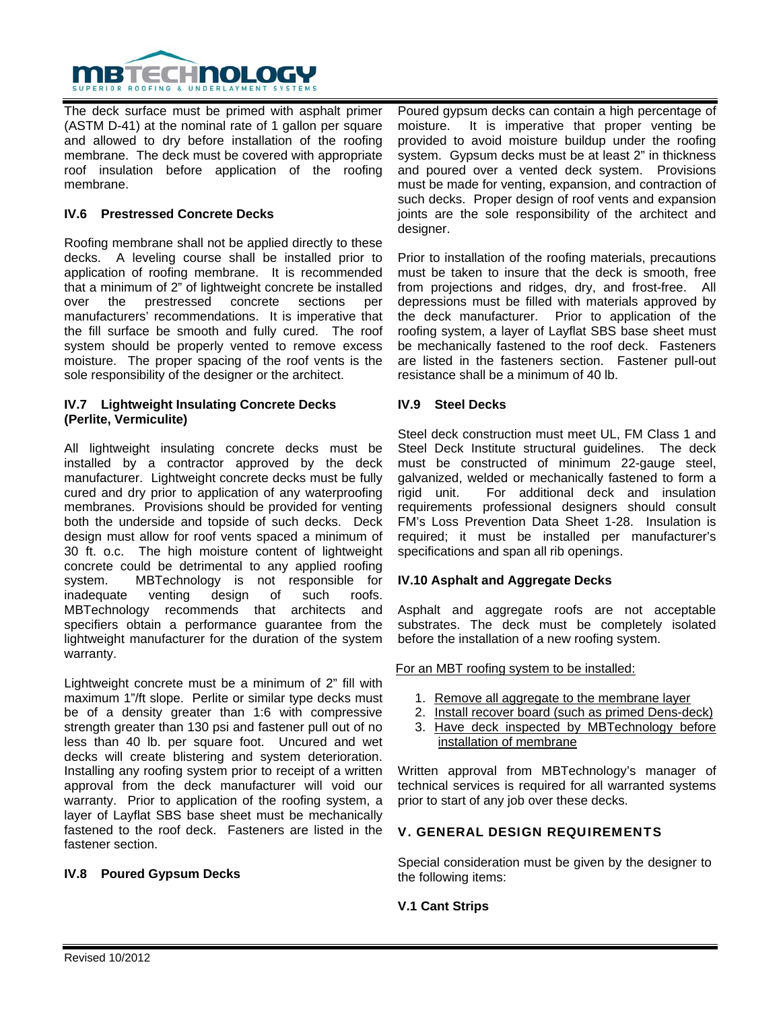

The deck surface must be primed with asphalt primer (ASTM D-41) at the nominal rate of 1 gallon per square and allowed to dry before installation of the roofing membrane. The deck must be covered with appropriate roof insulation before application of the roofing membrane.

## **IV.6 Prestressed Concrete Decks**

Roofing membrane shall not be applied directly to these decks. A leveling course shall be installed prior to application of roofing membrane. It is recommended that a minimum of 2" of lightweight concrete be installed over the prestressed concrete sections per manufacturers' recommendations. It is imperative that the fill surface be smooth and fully cured. The roof system should be properly vented to remove excess moisture. The proper spacing of the roof vents is the sole responsibility of the designer or the architect.

#### **IV.7 Lightweight Insulating Concrete Decks (Perlite, Vermiculite)**

All lightweight insulating concrete decks must be installed by a contractor approved by the deck manufacturer. Lightweight concrete decks must be fully cured and dry prior to application of any waterproofing membranes. Provisions should be provided for venting both the underside and topside of such decks. Deck design must allow for roof vents spaced a minimum of 30 ft. o.c. The high moisture content of lightweight concrete could be detrimental to any applied roofing system. MBTechnology is not responsible for inadequate venting design of such roofs. MBTechnology recommends that architects and specifiers obtain a performance guarantee from the lightweight manufacturer for the duration of the system warranty.

Lightweight concrete must be a minimum of 2" fill with maximum 1"/ft slope. Perlite or similar type decks must be of a density greater than 1:6 with compressive strength greater than 130 psi and fastener pull out of no less than 40 lb. per square foot. Uncured and wet decks will create blistering and system deterioration. Installing any roofing system prior to receipt of a written approval from the deck manufacturer will void our warranty. Prior to application of the roofing system, a layer of Layflat SBS base sheet must be mechanically fastened to the roof deck. Fasteners are listed in the fastener section.

# **IV.8 Poured Gypsum Decks**

Poured gypsum decks can contain a high percentage of moisture. It is imperative that proper venting be provided to avoid moisture buildup under the roofing system. Gypsum decks must be at least 2" in thickness and poured over a vented deck system. Provisions must be made for venting, expansion, and contraction of such decks. Proper design of roof vents and expansion joints are the sole responsibility of the architect and designer.

Prior to installation of the roofing materials, precautions must be taken to insure that the deck is smooth, free from projections and ridges, dry, and frost-free. All depressions must be filled with materials approved by the deck manufacturer. Prior to application of the roofing system, a layer of Layflat SBS base sheet must be mechanically fastened to the roof deck. Fasteners are listed in the fasteners section. Fastener pull-out resistance shall be a minimum of 40 lb.

#### **IV.9 Steel Decks**

Steel deck construction must meet UL, FM Class 1 and Steel Deck Institute structural guidelines. The deck must be constructed of minimum 22-gauge steel, galvanized, welded or mechanically fastened to form a rigid unit. For additional deck and insulation requirements professional designers should consult FM's Loss Prevention Data Sheet 1-28. Insulation is required; it must be installed per manufacturer's specifications and span all rib openings.

#### **IV.10 Asphalt and Aggregate Decks**

Asphalt and aggregate roofs are not acceptable substrates. The deck must be completely isolated before the installation of a new roofing system.

For an MBT roofing system to be installed:

- 1. Remove all aggregate to the membrane layer
- 2. Install recover board (such as primed Dens-deck)
- 3. Have deck inspected by MBTechnology before installation of membrane

Written approval from MBTechnology's manager of technical services is required for all warranted systems prior to start of any job over these decks.

# V. GENERAL DESIGN REQUIREMENTS

Special consideration must be given by the designer to the following items:

**V.1 Cant Strips**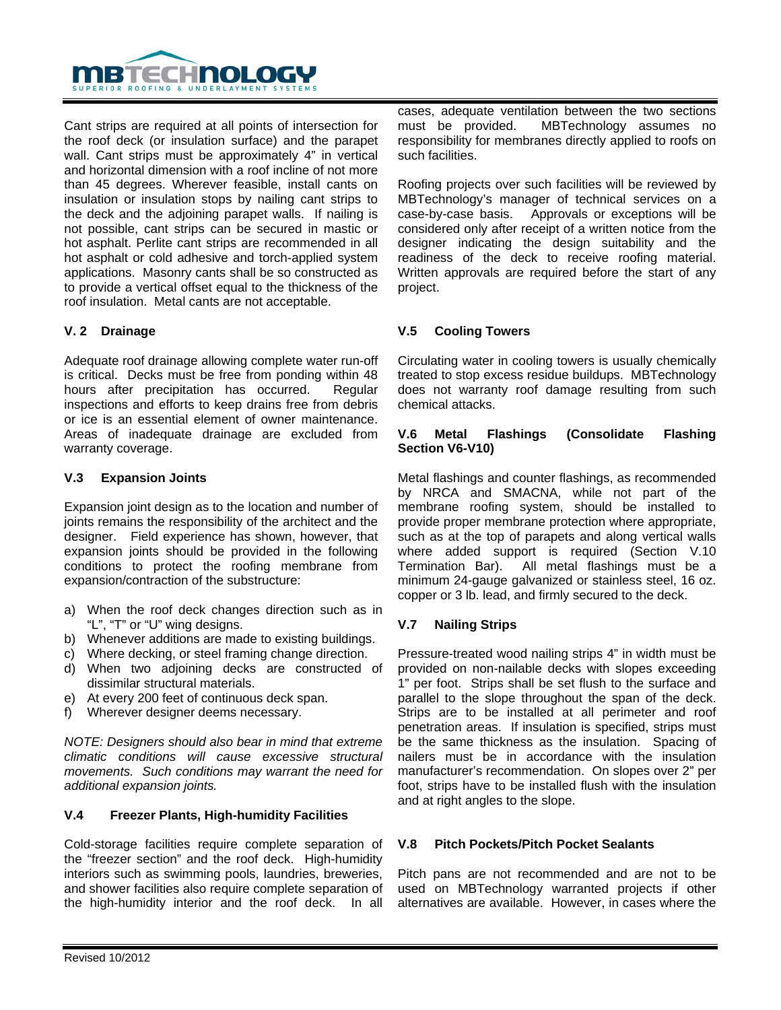

Cant strips are required at all points of intersection for the roof deck (or insulation surface) and the parapet wall. Cant strips must be approximately 4" in vertical and horizontal dimension with a roof incline of not more than 45 degrees. Wherever feasible, install cants on insulation or insulation stops by nailing cant strips to the deck and the adjoining parapet walls. If nailing is not possible, cant strips can be secured in mastic or hot asphalt. Perlite cant strips are recommended in all hot asphalt or cold adhesive and torch-applied system applications. Masonry cants shall be so constructed as to provide a vertical offset equal to the thickness of the roof insulation. Metal cants are not acceptable.

# **V. 2 Drainage**

Adequate roof drainage allowing complete water run-off is critical. Decks must be free from ponding within 48 hours after precipitation has occurred. Regular inspections and efforts to keep drains free from debris or ice is an essential element of owner maintenance. Areas of inadequate drainage are excluded from warranty coverage.

## **V.3 Expansion Joints**

Expansion joint design as to the location and number of joints remains the responsibility of the architect and the designer. Field experience has shown, however, that expansion joints should be provided in the following conditions to protect the roofing membrane from expansion/contraction of the substructure:

- a) When the roof deck changes direction such as in "L", "T" or "U" wing designs.
- b) Whenever additions are made to existing buildings.
- c) Where decking, or steel framing change direction.
- d) When two adjoining decks are constructed of dissimilar structural materials.
- e) At every 200 feet of continuous deck span.
- f) Wherever designer deems necessary.

*NOTE: Designers should also bear in mind that extreme climatic conditions will cause excessive structural movements. Such conditions may warrant the need for additional expansion joints.* 

#### **V.4 Freezer Plants, High-humidity Facilities**

Cold-storage facilities require complete separation of the "freezer section" and the roof deck. High-humidity interiors such as swimming pools, laundries, breweries, and shower facilities also require complete separation of the high-humidity interior and the roof deck. In all

cases, adequate ventilation between the two sections must be provided. MBTechnology assumes no responsibility for membranes directly applied to roofs on such facilities.

Roofing projects over such facilities will be reviewed by MBTechnology's manager of technical services on a case-by-case basis. Approvals or exceptions will be considered only after receipt of a written notice from the designer indicating the design suitability and the readiness of the deck to receive roofing material. Written approvals are required before the start of any project.

# **V.5 Cooling Towers**

Circulating water in cooling towers is usually chemically treated to stop excess residue buildups. MBTechnology does not warranty roof damage resulting from such chemical attacks.

## **V.6 Metal Flashings (Consolidate Flashing Section V6-V10)**

Metal flashings and counter flashings, as recommended by NRCA and SMACNA, while not part of the membrane roofing system, should be installed to provide proper membrane protection where appropriate, such as at the top of parapets and along vertical walls where added support is required (Section V.10 Termination Bar). All metal flashings must be a minimum 24-gauge galvanized or stainless steel, 16 oz. copper or 3 lb. lead, and firmly secured to the deck.

# **V.7 Nailing Strips**

Pressure-treated wood nailing strips 4" in width must be provided on non-nailable decks with slopes exceeding 1" per foot. Strips shall be set flush to the surface and parallel to the slope throughout the span of the deck. Strips are to be installed at all perimeter and roof penetration areas. If insulation is specified, strips must be the same thickness as the insulation. Spacing of nailers must be in accordance with the insulation manufacturer's recommendation. On slopes over 2" per foot, strips have to be installed flush with the insulation and at right angles to the slope.

#### **V.8 Pitch Pockets/Pitch Pocket Sealants**

Pitch pans are not recommended and are not to be used on MBTechnology warranted projects if other alternatives are available. However, in cases where the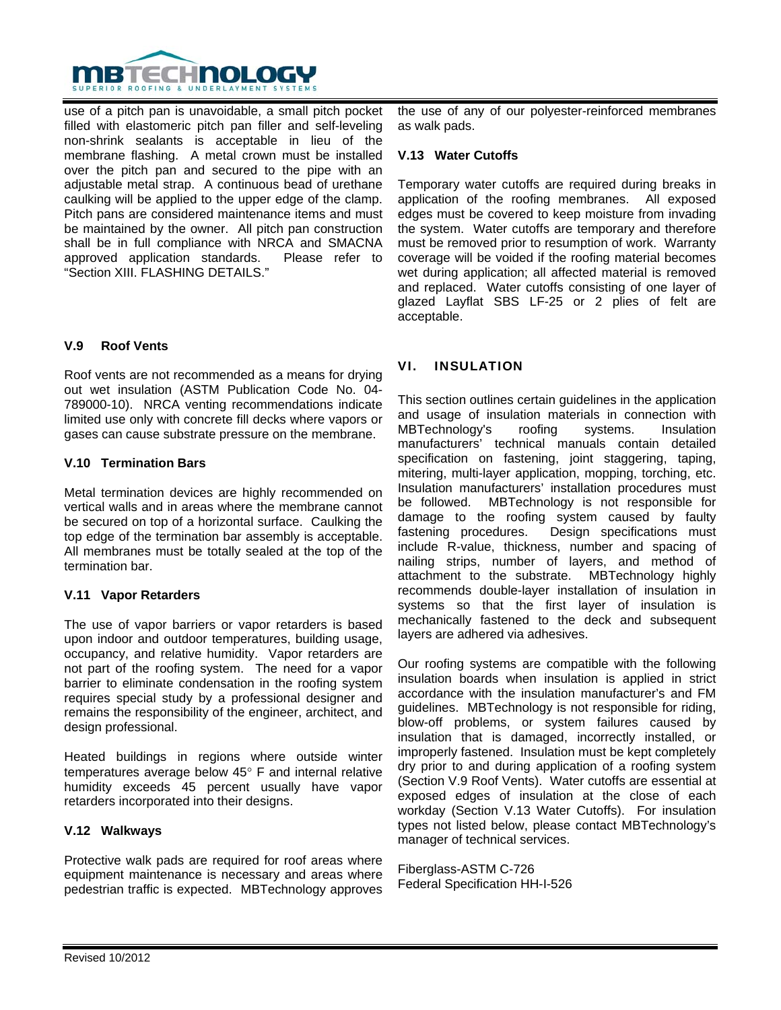

use of a pitch pan is unavoidable, a small pitch pocket filled with elastomeric pitch pan filler and self-leveling non-shrink sealants is acceptable in lieu of the membrane flashing. A metal crown must be installed over the pitch pan and secured to the pipe with an adjustable metal strap. A continuous bead of urethane caulking will be applied to the upper edge of the clamp. Pitch pans are considered maintenance items and must be maintained by the owner. All pitch pan construction shall be in full compliance with NRCA and SMACNA approved application standards. Please refer to "Section XIII. FLASHING DETAILS."

# **V.9 Roof Vents**

Roof vents are not recommended as a means for drying out wet insulation (ASTM Publication Code No. 04- 789000-10). NRCA venting recommendations indicate limited use only with concrete fill decks where vapors or gases can cause substrate pressure on the membrane.

## **V.10 Termination Bars**

Metal termination devices are highly recommended on vertical walls and in areas where the membrane cannot be secured on top of a horizontal surface. Caulking the top edge of the termination bar assembly is acceptable. All membranes must be totally sealed at the top of the termination bar.

#### **V.11 Vapor Retarders**

The use of vapor barriers or vapor retarders is based upon indoor and outdoor temperatures, building usage, occupancy, and relative humidity. Vapor retarders are not part of the roofing system. The need for a vapor barrier to eliminate condensation in the roofing system requires special study by a professional designer and remains the responsibility of the engineer, architect, and design professional.

Heated buildings in regions where outside winter temperatures average below 45° F and internal relative humidity exceeds 45 percent usually have vapor retarders incorporated into their designs.

#### **V.12 Walkways**

Protective walk pads are required for roof areas where equipment maintenance is necessary and areas where pedestrian traffic is expected. MBTechnology approves

the use of any of our polyester-reinforced membranes as walk pads.

#### **V.13 Water Cutoffs**

Temporary water cutoffs are required during breaks in application of the roofing membranes. All exposed edges must be covered to keep moisture from invading the system. Water cutoffs are temporary and therefore must be removed prior to resumption of work. Warranty coverage will be voided if the roofing material becomes wet during application; all affected material is removed and replaced. Water cutoffs consisting of one layer of glazed Layflat SBS LF-25 or 2 plies of felt are acceptable.

# VI. INSULATION

This section outlines certain guidelines in the application and usage of insulation materials in connection with MBTechnology's roofing systems. Insulation manufacturers' technical manuals contain detailed specification on fastening, joint staggering, taping, mitering, multi-layer application, mopping, torching, etc. Insulation manufacturers' installation procedures must be followed. MBTechnology is not responsible for damage to the roofing system caused by faulty fastening procedures. Design specifications must include R-value, thickness, number and spacing of nailing strips, number of layers, and method of attachment to the substrate. MBTechnology highly recommends double-layer installation of insulation in systems so that the first layer of insulation is mechanically fastened to the deck and subsequent layers are adhered via adhesives.

Our roofing systems are compatible with the following insulation boards when insulation is applied in strict accordance with the insulation manufacturer's and FM guidelines. MBTechnology is not responsible for riding, blow-off problems, or system failures caused by insulation that is damaged, incorrectly installed, or improperly fastened. Insulation must be kept completely dry prior to and during application of a roofing system (Section V.9 Roof Vents). Water cutoffs are essential at exposed edges of insulation at the close of each workday (Section V.13 Water Cutoffs). For insulation types not listed below, please contact MBTechnology's manager of technical services.

Fiberglass-ASTM C-726 Federal Specification HH-I-526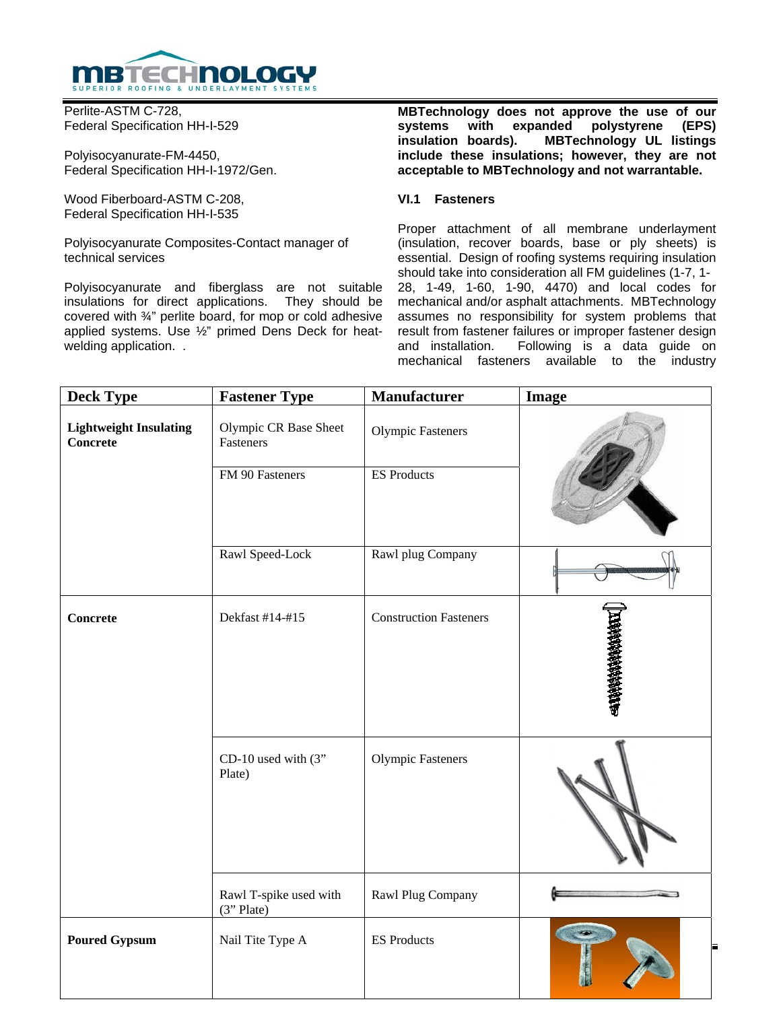

Perlite-ASTM C-728, Federal Specification HH-I-529

Polyisocyanurate-FM-4450, Federal Specification HH-I-1972/Gen.

Wood Fiberboard-ASTM C-208, Federal Specification HH-I-535

Polyisocyanurate Composites-Contact manager of technical services

Polyisocyanurate and fiberglass are not suitable insulations for direct applications. They should be covered with ¾" perlite board, for mop or cold adhesive applied systems. Use ½" primed Dens Deck for heatwelding application. .

**MBTechnology does not approve the use of our systems with expanded polystyrene (EPS) insulation boards). MBTechnology UL listings include these insulations; however, they are not acceptable to MBTechnology and not warrantable.** 

#### **VI.1 Fasteners**

Proper attachment of all membrane underlayment (insulation, recover boards, base or ply sheets) is essential. Design of roofing systems requiring insulation should take into consideration all FM guidelines (1-7, 1- 28, 1-49, 1-60, 1-90, 4470) and local codes for mechanical and/or asphalt attachments. MBTechnology assumes no responsibility for system problems that result from fastener failures or improper fastener design and installation. Following is a data guide on mechanical fasteners available to the industry

| <b>Deck Type</b>                          | <b>Fastener Type</b>                 | <b>Manufacturer</b>           | <b>Image</b> |
|-------------------------------------------|--------------------------------------|-------------------------------|--------------|
| <b>Lightweight Insulating</b><br>Concrete | Olympic CR Base Sheet<br>Fasteners   | <b>Olympic Fasteners</b>      |              |
|                                           | FM 90 Fasteners                      | <b>ES Products</b>            |              |
|                                           | Rawl Speed-Lock                      | Rawl plug Company             |              |
| <b>Concrete</b>                           | Dekfast #14-#15                      | <b>Construction Fasteners</b> |              |
|                                           | CD-10 used with $(3"$<br>Plate)      | <b>Olympic Fasteners</b>      |              |
|                                           | Rawl T-spike used with<br>(3" Plate) | Rawl Plug Company             |              |
| <b>Poured Gypsum</b>                      | Nail Tite Type A                     | <b>ES Products</b>            |              |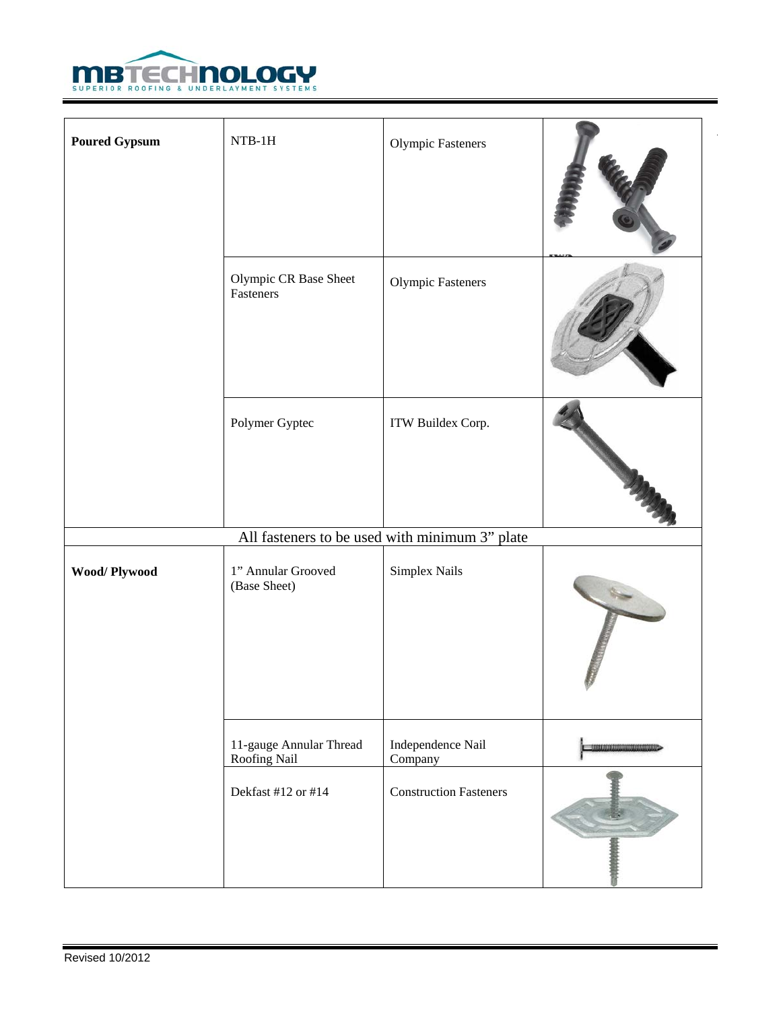

| <b>Poured Gypsum</b> | $NTB-1H$                                | Olympic Fasteners                              |                          |
|----------------------|-----------------------------------------|------------------------------------------------|--------------------------|
|                      | Olympic CR Base Sheet<br>Fasteners      | Olympic Fasteners                              |                          |
|                      | Polymer Gyptec                          | ITW Buildex Corp.                              |                          |
|                      |                                         | All fasteners to be used with minimum 3" plate |                          |
| Wood/Plywood         | 1" Annular Grooved<br>(Base Sheet)      | Simplex Nails                                  |                          |
|                      | 11-gauge Annular Thread<br>Roofing Nail | Independence Nail<br>Company                   | <b>SOUTH DESCRIPTION</b> |
|                      | Dekfast #12 or #14                      | <b>Construction Fasteners</b>                  |                          |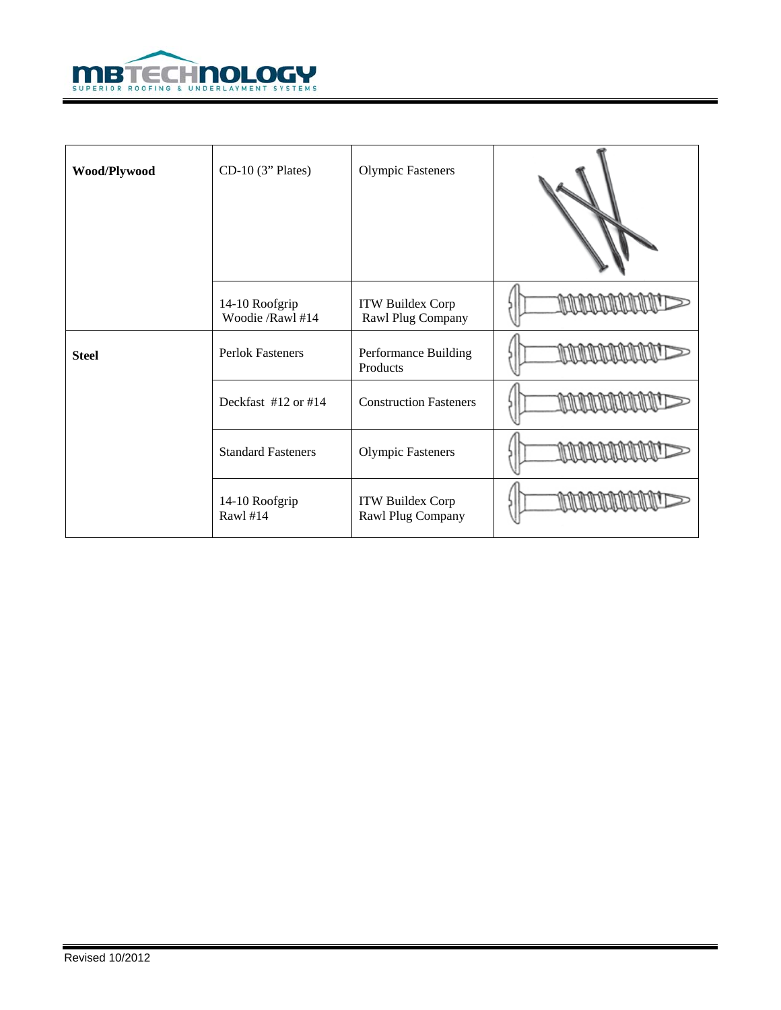

| Wood/Plywood | $CD-10$ (3" Plates)                | <b>Olympic Fasteners</b>              |  |
|--------------|------------------------------------|---------------------------------------|--|
|              | 14-10 Roofgrip<br>Woodie /Rawl #14 | ITW Buildex Corp<br>Rawl Plug Company |  |
| <b>Steel</b> | <b>Perlok Fasteners</b>            | Performance Building<br>Products      |  |
|              | Deckfast #12 or #14                | <b>Construction Fasteners</b>         |  |
|              | <b>Standard Fasteners</b>          | <b>Olympic Fasteners</b>              |  |
|              | 14-10 Roofgrip<br>Rawl #14         | ITW Buildex Corp<br>Rawl Plug Company |  |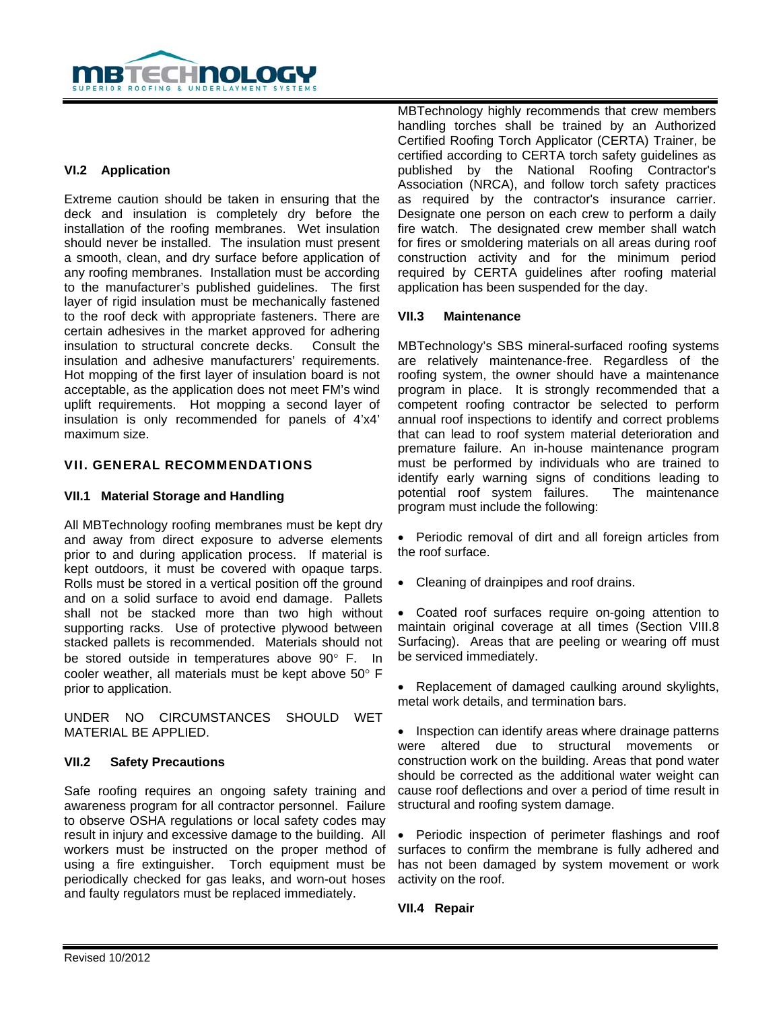

# **VI.2 Application**

Extreme caution should be taken in ensuring that the deck and insulation is completely dry before the installation of the roofing membranes. Wet insulation should never be installed. The insulation must present a smooth, clean, and dry surface before application of any roofing membranes. Installation must be according to the manufacturer's published guidelines. The first layer of rigid insulation must be mechanically fastened to the roof deck with appropriate fasteners. There are certain adhesives in the market approved for adhering insulation to structural concrete decks. Consult the insulation and adhesive manufacturers' requirements. Hot mopping of the first layer of insulation board is not acceptable, as the application does not meet FM's wind uplift requirements. Hot mopping a second layer of insulation is only recommended for panels of 4'x4' maximum size.

#### VII. GENERAL RECOMMENDATIONS

# **VII.1 Material Storage and Handling**

All MBTechnology roofing membranes must be kept dry and away from direct exposure to adverse elements prior to and during application process. If material is kept outdoors, it must be covered with opaque tarps. Rolls must be stored in a vertical position off the ground and on a solid surface to avoid end damage. Pallets shall not be stacked more than two high without supporting racks. Use of protective plywood between stacked pallets is recommended. Materials should not be stored outside in temperatures above 90° F. In cooler weather, all materials must be kept above 50° F prior to application.

UNDER NO CIRCUMSTANCES SHOULD WET MATERIAL BE APPLIED.

#### **VII.2 Safety Precautions**

Safe roofing requires an ongoing safety training and awareness program for all contractor personnel. Failure to observe OSHA regulations or local safety codes may result in injury and excessive damage to the building. All workers must be instructed on the proper method of using a fire extinguisher. Torch equipment must be periodically checked for gas leaks, and worn-out hoses and faulty regulators must be replaced immediately.

MBTechnology highly recommends that crew members handling torches shall be trained by an Authorized Certified Roofing Torch Applicator (CERTA) Trainer, be certified according to CERTA torch safety guidelines as published by the National Roofing Contractor's Association (NRCA), and follow torch safety practices as required by the contractor's insurance carrier. Designate one person on each crew to perform a daily fire watch. The designated crew member shall watch for fires or smoldering materials on all areas during roof construction activity and for the minimum period required by CERTA guidelines after roofing material application has been suspended for the day.

#### **VII.3 Maintenance**

MBTechnology's SBS mineral-surfaced roofing systems are relatively maintenance-free. Regardless of the roofing system, the owner should have a maintenance program in place. It is strongly recommended that a competent roofing contractor be selected to perform annual roof inspections to identify and correct problems that can lead to roof system material deterioration and premature failure. An in-house maintenance program must be performed by individuals who are trained to identify early warning signs of conditions leading to potential roof system failures. The maintenance program must include the following:

• Periodic removal of dirt and all foreign articles from the roof surface.

• Cleaning of drainpipes and roof drains.

• Coated roof surfaces require on-going attention to maintain original coverage at all times (Section VIII.8 Surfacing). Areas that are peeling or wearing off must be serviced immediately.

• Replacement of damaged caulking around skylights, metal work details, and termination bars.

• Inspection can identify areas where drainage patterns were altered due to structural movements or construction work on the building. Areas that pond water should be corrected as the additional water weight can cause roof deflections and over a period of time result in structural and roofing system damage.

• Periodic inspection of perimeter flashings and roof surfaces to confirm the membrane is fully adhered and has not been damaged by system movement or work activity on the roof.

**VII.4 Repair**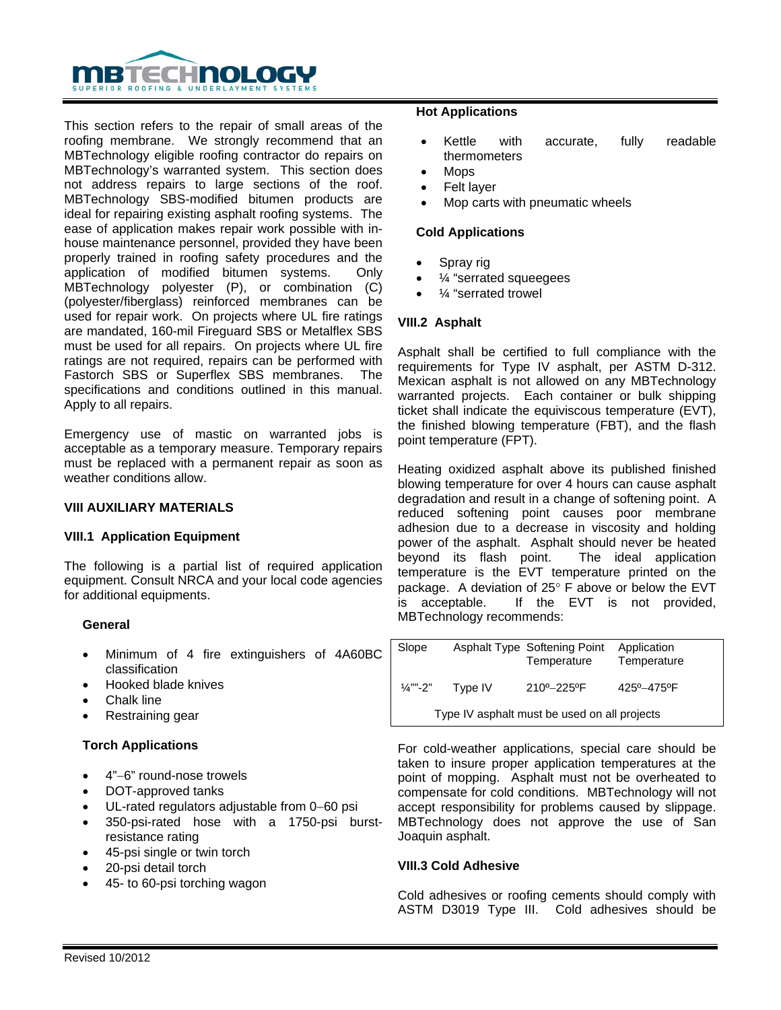

This section refers to the repair of small areas of the roofing membrane. We strongly recommend that an MBTechnology eligible roofing contractor do repairs on MBTechnology's warranted system. This section does not address repairs to large sections of the roof. MBTechnology SBS-modified bitumen products are ideal for repairing existing asphalt roofing systems. The ease of application makes repair work possible with inhouse maintenance personnel, provided they have been properly trained in roofing safety procedures and the application of modified bitumen systems. Only MBTechnology polyester (P), or combination (C) (polyester/fiberglass) reinforced membranes can be used for repair work. On projects where UL fire ratings are mandated, 160-mil Fireguard SBS or Metalflex SBS must be used for all repairs. On projects where UL fire ratings are not required, repairs can be performed with Fastorch SBS or Superflex SBS membranes. The specifications and conditions outlined in this manual. Apply to all repairs.

Emergency use of mastic on warranted jobs is acceptable as a temporary measure. Temporary repairs must be replaced with a permanent repair as soon as weather conditions allow.

# **VIII AUXILIARY MATERIALS**

#### **VIII.1 Application Equipment**

The following is a partial list of required application equipment. Consult NRCA and your local code agencies for additional equipments.

#### **General**

- Minimum of 4 fire extinguishers of 4A60BC classification
- Hooked blade knives
- Chalk line
- Restraining gear

#### **Torch Applications**

- 4"−6" round-nose trowels
- DOT-approved tanks
- UL-rated regulators adjustable from 0−60 psi
- 350-psi-rated hose with a 1750-psi burstresistance rating
- 45-psi single or twin torch
- 20-psi detail torch
- 45- to 60-psi torching wagon

#### **Hot Applications**

- Kettle with accurate, fully readable thermometers
- Mops
- Felt layer
- Mop carts with pneumatic wheels

#### **Cold Applications**

- Spray rig
- ¼ "serrated squeegees
- $\frac{1}{4}$  "serrated trowel

#### **VIII.2 Asphalt**

Asphalt shall be certified to full compliance with the requirements for Type IV asphalt, per ASTM D-312. Mexican asphalt is not allowed on any MBTechnology warranted projects. Each container or bulk shipping ticket shall indicate the equiviscous temperature (EVT), the finished blowing temperature (FBT), and the flash point temperature (FPT).

Heating oxidized asphalt above its published finished blowing temperature for over 4 hours can cause asphalt degradation and result in a change of softening point. A reduced softening point causes poor membrane adhesion due to a decrease in viscosity and holding power of the asphalt. Asphalt should never be heated beyond its flash point. The ideal application temperature is the EVT temperature printed on the package. A deviation of 25° F above or below the EVT is acceptable. If the EVT is not provided, MBTechnology recommends:

| Slope                                        |         | <b>Asphalt Type Softening Point</b><br>Temperature | Application<br>Temperature |  |
|----------------------------------------------|---------|----------------------------------------------------|----------------------------|--|
| $\frac{1}{4}$ ""-2"                          | Type IV | 210°-225°F                                         | 425° - 475° F              |  |
| Type IV asphalt must be used on all projects |         |                                                    |                            |  |

For cold-weather applications, special care should be taken to insure proper application temperatures at the point of mopping. Asphalt must not be overheated to compensate for cold conditions. MBTechnology will not accept responsibility for problems caused by slippage. MBTechnology does not approve the use of San Joaquin asphalt.

#### **VIII.3 Cold Adhesive**

Cold adhesives or roofing cements should comply with ASTM D3019 Type III. Cold adhesives should be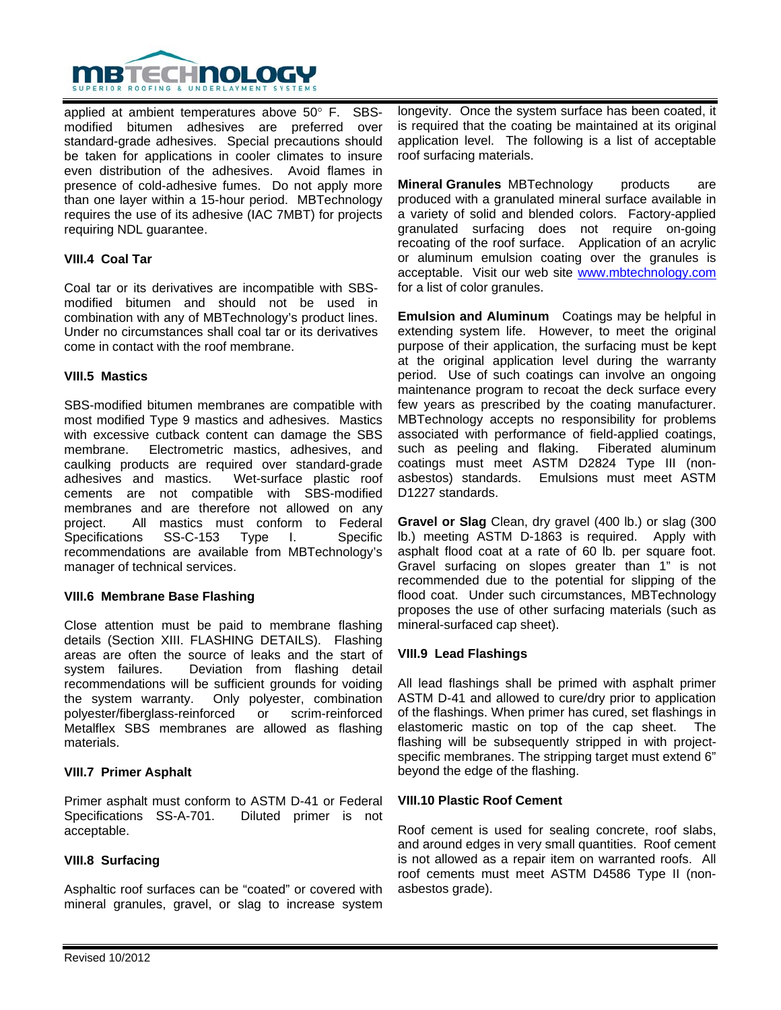

applied at ambient temperatures above 50° F. SBSmodified bitumen adhesives are preferred over standard-grade adhesives. Special precautions should be taken for applications in cooler climates to insure even distribution of the adhesives. Avoid flames in presence of cold-adhesive fumes. Do not apply more than one layer within a 15-hour period. MBTechnology requires the use of its adhesive (IAC 7MBT) for projects requiring NDL guarantee.

## **VIII.4 Coal Tar**

Coal tar or its derivatives are incompatible with SBSmodified bitumen and should not be used in combination with any of MBTechnology's product lines. Under no circumstances shall coal tar or its derivatives come in contact with the roof membrane.

#### **VIII.5 Mastics**

SBS-modified bitumen membranes are compatible with most modified Type 9 mastics and adhesives. Mastics with excessive cutback content can damage the SBS membrane. Electrometric mastics, adhesives, and caulking products are required over standard-grade adhesives and mastics. Wet-surface plastic roof cements are not compatible with SBS-modified membranes and are therefore not allowed on any project. All mastics must conform to Federal Specifications SS-C-153 Type I. Specific recommendations are available from MBTechnology's manager of technical services.

#### **VIII.6 Membrane Base Flashing**

Close attention must be paid to membrane flashing details (Section XIII. FLASHING DETAILS). Flashing areas are often the source of leaks and the start of system failures. Deviation from flashing detail recommendations will be sufficient grounds for voiding the system warranty. Only polyester, combination polyester/fiberglass-reinforced or scrim-reinforced Metalflex SBS membranes are allowed as flashing materials.

#### **VIII.7 Primer Asphalt**

Primer asphalt must conform to ASTM D-41 or Federal Specifications SS-A-701. Diluted primer is not acceptable.

# **VIII.8 Surfacing**

Asphaltic roof surfaces can be "coated" or covered with mineral granules, gravel, or slag to increase system

longevity. Once the system surface has been coated, it is required that the coating be maintained at its original application level. The following is a list of acceptable roof surfacing materials.

**Mineral Granules** MBTechnology products are produced with a granulated mineral surface available in a variety of solid and blended colors. Factory-applied granulated surfacing does not require on-going recoating of the roof surface. Application of an acrylic or aluminum emulsion coating over the granules is acceptable. Visit our web site www.mbtechnology.com for a list of color granules.

**Emulsion and Aluminum** Coatings may be helpful in extending system life. However, to meet the original purpose of their application, the surfacing must be kept at the original application level during the warranty period. Use of such coatings can involve an ongoing maintenance program to recoat the deck surface every few years as prescribed by the coating manufacturer. MBTechnology accepts no responsibility for problems associated with performance of field-applied coatings, such as peeling and flaking. Fiberated aluminum coatings must meet ASTM D2824 Type III (nonasbestos) standards. Emulsions must meet ASTM D1227 standards.

**Gravel or Slag** Clean, dry gravel (400 lb.) or slag (300 lb.) meeting ASTM D-1863 is required. Apply with asphalt flood coat at a rate of 60 lb. per square foot. Gravel surfacing on slopes greater than 1" is not recommended due to the potential for slipping of the flood coat. Under such circumstances, MBTechnology proposes the use of other surfacing materials (such as mineral-surfaced cap sheet).

#### **VIII.9 Lead Flashings**

All lead flashings shall be primed with asphalt primer ASTM D-41 and allowed to cure/dry prior to application of the flashings. When primer has cured, set flashings in elastomeric mastic on top of the cap sheet. The flashing will be subsequently stripped in with projectspecific membranes. The stripping target must extend 6" beyond the edge of the flashing.

#### **VIII.10 Plastic Roof Cement**

Roof cement is used for sealing concrete, roof slabs, and around edges in very small quantities. Roof cement is not allowed as a repair item on warranted roofs. All roof cements must meet ASTM D4586 Type II (nonasbestos grade).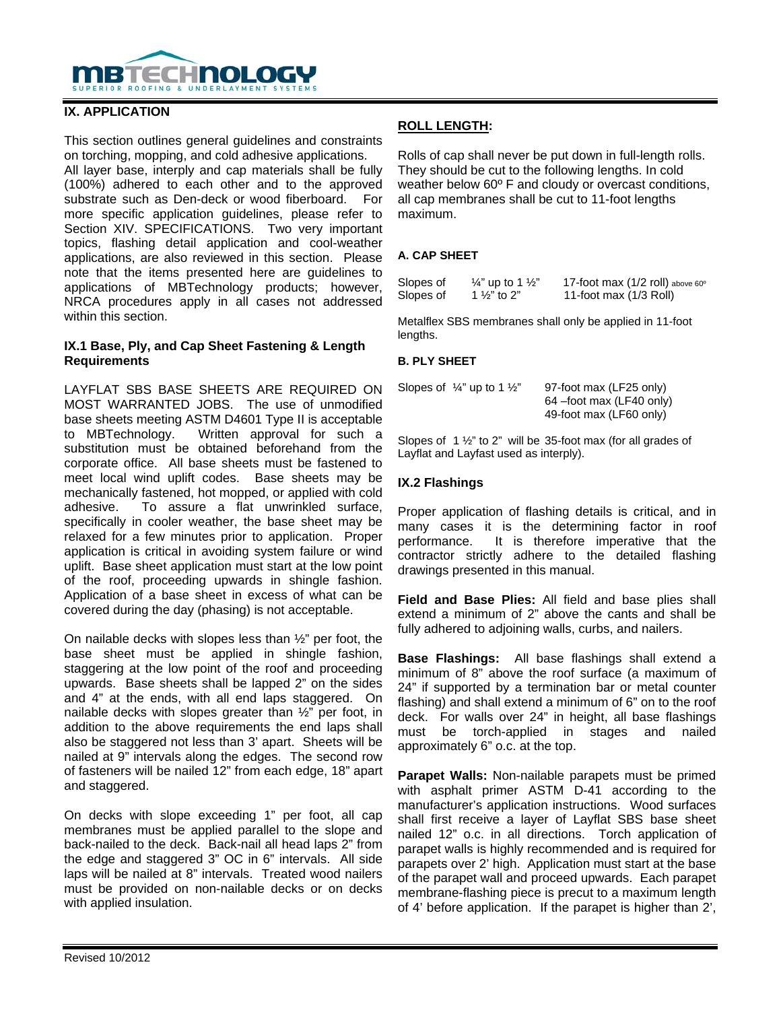

## **IX. APPLICATION**

This section outlines general guidelines and constraints on torching, mopping, and cold adhesive applications.

All layer base, interply and cap materials shall be fully (100%) adhered to each other and to the approved substrate such as Den-deck or wood fiberboard. For more specific application guidelines, please refer to Section XIV. SPECIFICATIONS. Two very important topics, flashing detail application and cool-weather applications, are also reviewed in this section. Please note that the items presented here are guidelines to applications of MBTechnology products; however, NRCA procedures apply in all cases not addressed within this section.

#### **IX.1 Base, Ply, and Cap Sheet Fastening & Length Requirements**

LAYFLAT SBS BASE SHEETS ARE REQUIRED ON MOST WARRANTED JOBS. The use of unmodified base sheets meeting ASTM D4601 Type II is acceptable to MBTechnology. Written approval for such a substitution must be obtained beforehand from the corporate office. All base sheets must be fastened to meet local wind uplift codes. Base sheets may be mechanically fastened, hot mopped, or applied with cold adhesive. To assure a flat unwrinkled surface, specifically in cooler weather, the base sheet may be relaxed for a few minutes prior to application. Proper application is critical in avoiding system failure or wind uplift. Base sheet application must start at the low point of the roof, proceeding upwards in shingle fashion. Application of a base sheet in excess of what can be covered during the day (phasing) is not acceptable.

On nailable decks with slopes less than ½" per foot, the base sheet must be applied in shingle fashion, staggering at the low point of the roof and proceeding upwards. Base sheets shall be lapped 2" on the sides and 4" at the ends, with all end laps staggered. On nailable decks with slopes greater than ½" per foot, in addition to the above requirements the end laps shall also be staggered not less than 3' apart. Sheets will be nailed at 9" intervals along the edges. The second row of fasteners will be nailed 12" from each edge, 18" apart and staggered.

On decks with slope exceeding 1" per foot, all cap membranes must be applied parallel to the slope and back-nailed to the deck. Back-nail all head laps 2" from the edge and staggered 3" OC in 6" intervals. All side laps will be nailed at 8" intervals. Treated wood nailers must be provided on non-nailable decks or on decks with applied insulation.

# **ROLL LENGTH:**

Rolls of cap shall never be put down in full-length rolls. They should be cut to the following lengths. In cold weather below 60º F and cloudy or overcast conditions, all cap membranes shall be cut to 11-foot lengths maximum.

## **A. CAP SHEET**

| Slopes of | $\frac{1}{4}$ " up to 1 $\frac{1}{2}$ " | 17-foot max (1/2 roll) above 60° |
|-----------|-----------------------------------------|----------------------------------|
| Slopes of | 1 $\frac{1}{2}$ " to 2"                 | 11-foot max (1/3 Roll)           |

Metalflex SBS membranes shall only be applied in 11-foot lengths.

#### **B. PLY SHEET**

| Slopes of $\frac{1}{4}$ " up to 1 $\frac{1}{2}$ " | 97-foot max (LF25 only)   |
|---------------------------------------------------|---------------------------|
|                                                   | 64 – foot max (LF40 only) |
|                                                   | 49-foot max (LF60 only)   |

Slopes of 1 ½" to 2" will be 35-foot max (for all grades of Layflat and Layfast used as interply).

## **IX.2 Flashings**

Proper application of flashing details is critical, and in many cases it is the determining factor in roof performance. It is therefore imperative that the contractor strictly adhere to the detailed flashing drawings presented in this manual.

**Field and Base Plies:** All field and base plies shall extend a minimum of 2" above the cants and shall be fully adhered to adjoining walls, curbs, and nailers.

**Base Flashings:** All base flashings shall extend a minimum of 8" above the roof surface (a maximum of 24" if supported by a termination bar or metal counter flashing) and shall extend a minimum of 6" on to the roof deck. For walls over 24" in height, all base flashings must be torch-applied in stages and nailed approximately 6" o.c. at the top.

**Parapet Walls:** Non-nailable parapets must be primed with asphalt primer ASTM D-41 according to the manufacturer's application instructions. Wood surfaces shall first receive a layer of Layflat SBS base sheet nailed 12" o.c. in all directions. Torch application of parapet walls is highly recommended and is required for parapets over 2' high. Application must start at the base of the parapet wall and proceed upwards. Each parapet membrane-flashing piece is precut to a maximum length of 4' before application. If the parapet is higher than 2',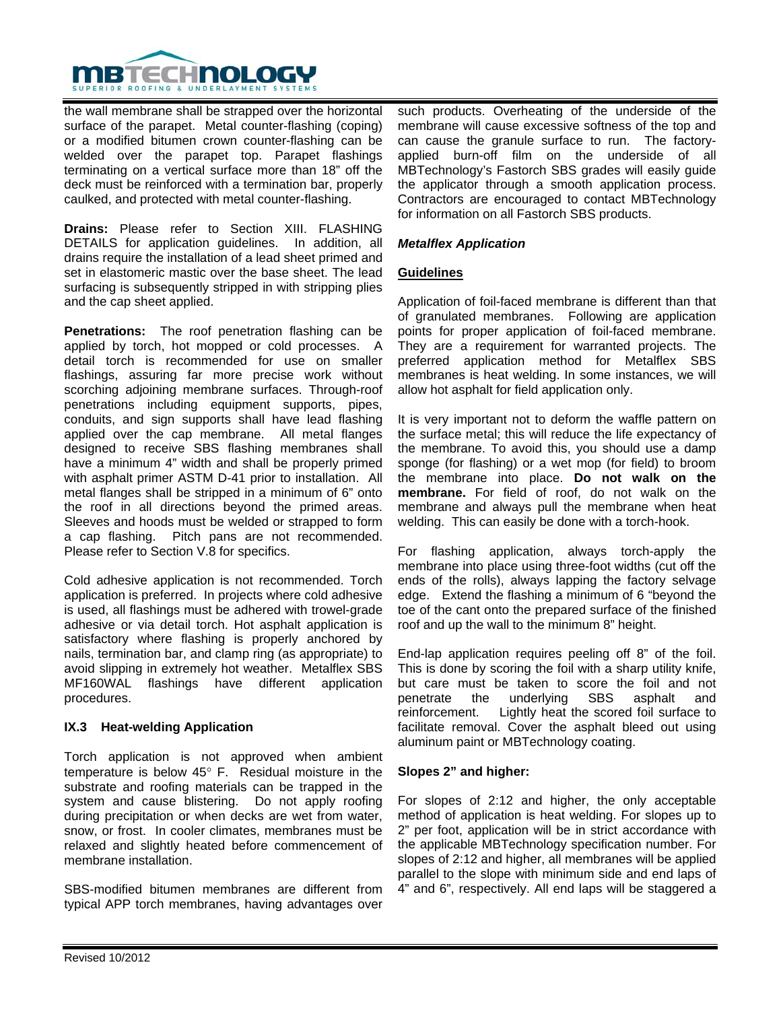

the wall membrane shall be strapped over the horizontal surface of the parapet. Metal counter-flashing (coping) or a modified bitumen crown counter-flashing can be welded over the parapet top. Parapet flashings terminating on a vertical surface more than 18" off the deck must be reinforced with a termination bar, properly caulked, and protected with metal counter-flashing.

**Drains:** Please refer to Section XIII. FLASHING DETAILS for application guidelines. In addition, all drains require the installation of a lead sheet primed and set in elastomeric mastic over the base sheet. The lead surfacing is subsequently stripped in with stripping plies and the cap sheet applied.

**Penetrations:** The roof penetration flashing can be applied by torch, hot mopped or cold processes. A detail torch is recommended for use on smaller flashings, assuring far more precise work without scorching adjoining membrane surfaces. Through-roof penetrations including equipment supports, pipes, conduits, and sign supports shall have lead flashing applied over the cap membrane. All metal flanges designed to receive SBS flashing membranes shall have a minimum 4" width and shall be properly primed with asphalt primer ASTM D-41 prior to installation. All metal flanges shall be stripped in a minimum of 6" onto the roof in all directions beyond the primed areas. Sleeves and hoods must be welded or strapped to form a cap flashing. Pitch pans are not recommended. Please refer to Section V.8 for specifics.

Cold adhesive application is not recommended. Torch application is preferred. In projects where cold adhesive is used, all flashings must be adhered with trowel-grade adhesive or via detail torch. Hot asphalt application is satisfactory where flashing is properly anchored by nails, termination bar, and clamp ring (as appropriate) to avoid slipping in extremely hot weather. Metalflex SBS MF160WAL flashings have different application procedures.

#### **IX.3 Heat-welding Application**

Torch application is not approved when ambient temperature is below 45° F. Residual moisture in the substrate and roofing materials can be trapped in the system and cause blistering. Do not apply roofing during precipitation or when decks are wet from water, snow, or frost. In cooler climates, membranes must be relaxed and slightly heated before commencement of membrane installation.

SBS-modified bitumen membranes are different from typical APP torch membranes, having advantages over such products. Overheating of the underside of the membrane will cause excessive softness of the top and can cause the granule surface to run. The factoryapplied burn-off film on the underside of all MBTechnology's Fastorch SBS grades will easily guide the applicator through a smooth application process. Contractors are encouraged to contact MBTechnology for information on all Fastorch SBS products.

## *Metalflex Application*

## **Guidelines**

Application of foil-faced membrane is different than that of granulated membranes. Following are application points for proper application of foil-faced membrane. They are a requirement for warranted projects. The preferred application method for Metalflex SBS membranes is heat welding. In some instances, we will allow hot asphalt for field application only.

It is very important not to deform the waffle pattern on the surface metal; this will reduce the life expectancy of the membrane. To avoid this, you should use a damp sponge (for flashing) or a wet mop (for field) to broom the membrane into place. **Do not walk on the membrane.** For field of roof, do not walk on the membrane and always pull the membrane when heat welding. This can easily be done with a torch-hook.

For flashing application, always torch-apply the membrane into place using three-foot widths (cut off the ends of the rolls), always lapping the factory selvage edge. Extend the flashing a minimum of 6 "beyond the toe of the cant onto the prepared surface of the finished roof and up the wall to the minimum 8" height.

End-lap application requires peeling off 8" of the foil. This is done by scoring the foil with a sharp utility knife, but care must be taken to score the foil and not penetrate the underlying SBS asphalt and reinforcement. Lightly heat the scored foil surface to facilitate removal. Cover the asphalt bleed out using aluminum paint or MBTechnology coating.

#### **Slopes 2" and higher:**

For slopes of 2:12 and higher, the only acceptable method of application is heat welding. For slopes up to 2" per foot, application will be in strict accordance with the applicable MBTechnology specification number. For slopes of 2:12 and higher, all membranes will be applied parallel to the slope with minimum side and end laps of 4" and 6", respectively. All end laps will be staggered a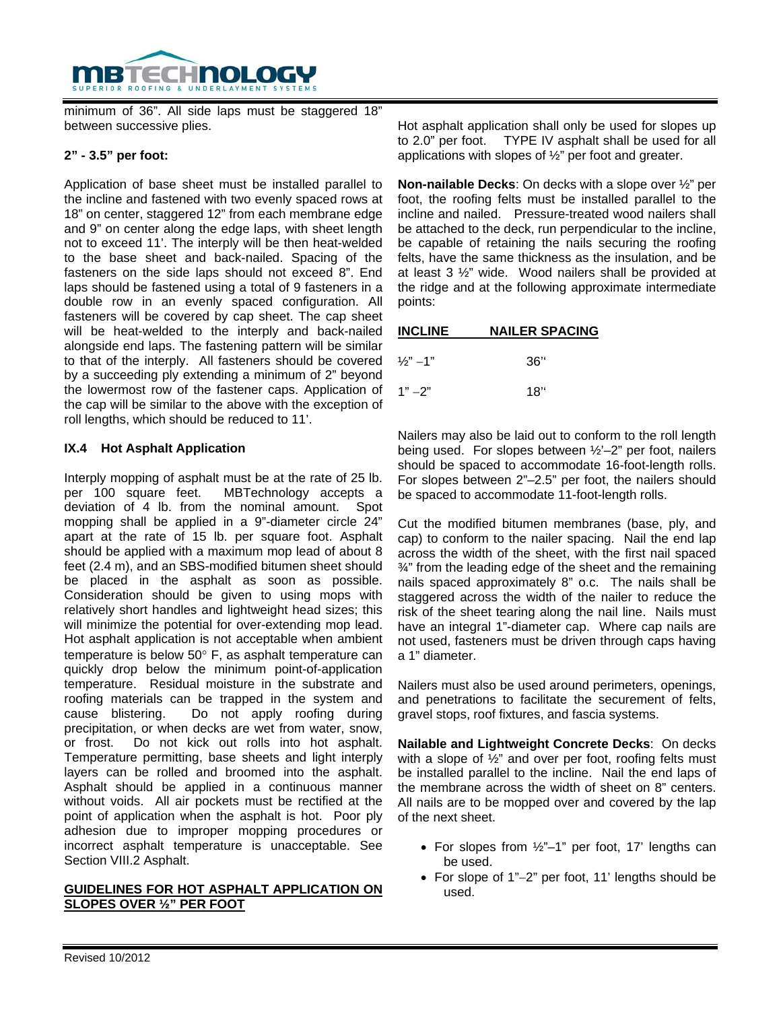

minimum of 36". All side laps must be staggered 18" between successive plies.

## **2" - 3.5" per foot:**

Application of base sheet must be installed parallel to the incline and fastened with two evenly spaced rows at 18" on center, staggered 12" from each membrane edge and 9" on center along the edge laps, with sheet length not to exceed 11'. The interply will be then heat-welded to the base sheet and back-nailed. Spacing of the fasteners on the side laps should not exceed 8". End laps should be fastened using a total of 9 fasteners in a double row in an evenly spaced configuration. All fasteners will be covered by cap sheet. The cap sheet will be heat-welded to the interply and back-nailed alongside end laps. The fastening pattern will be similar to that of the interply. All fasteners should be covered by a succeeding ply extending a minimum of 2" beyond the lowermost row of the fastener caps. Application of the cap will be similar to the above with the exception of roll lengths, which should be reduced to 11'.

## **IX.4 Hot Asphalt Application**

Interply mopping of asphalt must be at the rate of 25 lb. per 100 square feet. MBTechnology accepts a deviation of 4 lb. from the nominal amount. Spot mopping shall be applied in a 9"-diameter circle 24" apart at the rate of 15 lb. per square foot. Asphalt should be applied with a maximum mop lead of about 8 feet (2.4 m), and an SBS-modified bitumen sheet should be placed in the asphalt as soon as possible. Consideration should be given to using mops with relatively short handles and lightweight head sizes; this will minimize the potential for over-extending mop lead. Hot asphalt application is not acceptable when ambient temperature is below 50° F, as asphalt temperature can quickly drop below the minimum point-of-application temperature. Residual moisture in the substrate and roofing materials can be trapped in the system and cause blistering. Do not apply roofing during precipitation, or when decks are wet from water, snow, or frost. Do not kick out rolls into hot asphalt. Temperature permitting, base sheets and light interply layers can be rolled and broomed into the asphalt. Asphalt should be applied in a continuous manner without voids. All air pockets must be rectified at the point of application when the asphalt is hot. Poor ply adhesion due to improper mopping procedures or incorrect asphalt temperature is unacceptable. See Section VIII.2 Asphalt.

## **GUIDELINES FOR HOT ASPHALT APPLICATION ON SLOPES OVER ½" PER FOOT**

Hot asphalt application shall only be used for slopes up to 2.0" per foot. TYPE IV asphalt shall be used for all applications with slopes of  $\frac{1}{2}$ " per foot and greater.

**Non-nailable Decks**: On decks with a slope over ½" per foot, the roofing felts must be installed parallel to the incline and nailed. Pressure-treated wood nailers shall be attached to the deck, run perpendicular to the incline, be capable of retaining the nails securing the roofing felts, have the same thickness as the insulation, and be at least 3 ½" wide. Wood nailers shall be provided at the ridge and at the following approximate intermediate points:

| <b>INCLINE</b>         | <b>NAILER SPACING</b> |  |  |
|------------------------|-----------------------|--|--|
|                        |                       |  |  |
| $\frac{1}{2}$ " $-1$ " | 36"                   |  |  |

 $1" -2"$  18"

Nailers may also be laid out to conform to the roll length being used. For slopes between ½'–2" per foot, nailers should be spaced to accommodate 16-foot-length rolls. For slopes between 2"–2.5" per foot, the nailers should be spaced to accommodate 11-foot-length rolls.

Cut the modified bitumen membranes (base, ply, and cap) to conform to the nailer spacing. Nail the end lap across the width of the sheet, with the first nail spaced ¾" from the leading edge of the sheet and the remaining nails spaced approximately 8" o.c. The nails shall be staggered across the width of the nailer to reduce the risk of the sheet tearing along the nail line. Nails must have an integral 1"-diameter cap. Where cap nails are not used, fasteners must be driven through caps having a 1" diameter.

Nailers must also be used around perimeters, openings, and penetrations to facilitate the securement of felts, gravel stops, roof fixtures, and fascia systems.

**Nailable and Lightweight Concrete Decks**: On decks with a slope of 1/2" and over per foot, roofing felts must be installed parallel to the incline. Nail the end laps of the membrane across the width of sheet on 8" centers. All nails are to be mopped over and covered by the lap of the next sheet.

- For slopes from ½"–1" per foot, 17' lengths can be used.
- For slope of 1"−2" per foot, 11' lengths should be used.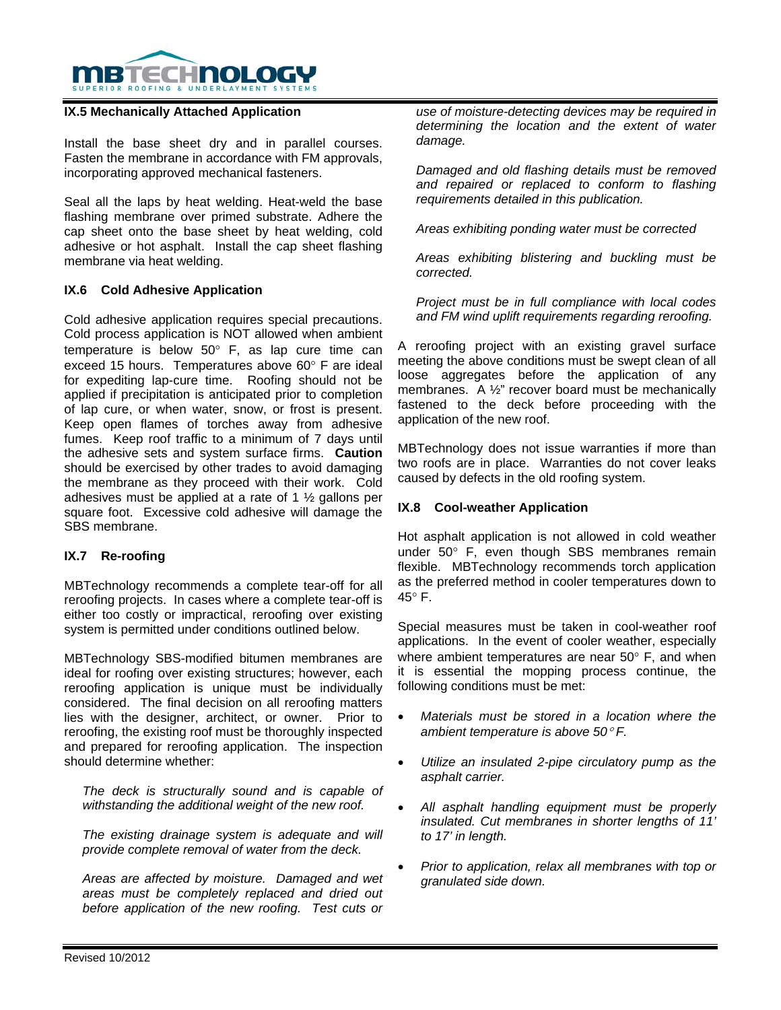

#### **IX.5 Mechanically Attached Application**

Install the base sheet dry and in parallel courses. Fasten the membrane in accordance with FM approvals, incorporating approved mechanical fasteners.

Seal all the laps by heat welding. Heat-weld the base flashing membrane over primed substrate. Adhere the cap sheet onto the base sheet by heat welding, cold adhesive or hot asphalt. Install the cap sheet flashing membrane via heat welding.

#### **IX.6 Cold Adhesive Application**

Cold adhesive application requires special precautions. Cold process application is NOT allowed when ambient temperature is below 50° F, as lap cure time can exceed 15 hours. Temperatures above 60° F are ideal for expediting lap-cure time. Roofing should not be applied if precipitation is anticipated prior to completion of lap cure, or when water, snow, or frost is present. Keep open flames of torches away from adhesive fumes. Keep roof traffic to a minimum of 7 days until the adhesive sets and system surface firms. **Caution** should be exercised by other trades to avoid damaging the membrane as they proceed with their work. Cold adhesives must be applied at a rate of 1 ½ gallons per square foot. Excessive cold adhesive will damage the SBS membrane.

#### **IX.7 Re-roofing**

MBTechnology recommends a complete tear-off for all reroofing projects. In cases where a complete tear-off is either too costly or impractical, reroofing over existing system is permitted under conditions outlined below.

MBTechnology SBS-modified bitumen membranes are ideal for roofing over existing structures; however, each reroofing application is unique must be individually considered. The final decision on all reroofing matters lies with the designer, architect, or owner. Prior to reroofing, the existing roof must be thoroughly inspected and prepared for reroofing application. The inspection should determine whether:

*The deck is structurally sound and is capable of withstanding the additional weight of the new roof.* 

*The existing drainage system is adequate and will provide complete removal of water from the deck.* 

*Areas are affected by moisture. Damaged and wet areas must be completely replaced and dried out before application of the new roofing. Test cuts or*  *use of moisture-detecting devices may be required in determining the location and the extent of water damage.* 

*Damaged and old flashing details must be removed and repaired or replaced to conform to flashing requirements detailed in this publication.* 

*Areas exhibiting ponding water must be corrected* 

*Areas exhibiting blistering and buckling must be corrected.* 

*Project must be in full compliance with local codes and FM wind uplift requirements regarding reroofing.* 

A reroofing project with an existing gravel surface meeting the above conditions must be swept clean of all loose aggregates before the application of any membranes. A ½" recover board must be mechanically fastened to the deck before proceeding with the application of the new roof.

MBTechnology does not issue warranties if more than two roofs are in place. Warranties do not cover leaks caused by defects in the old roofing system.

#### **IX.8 Cool-weather Application**

Hot asphalt application is not allowed in cold weather under 50° F, even though SBS membranes remain flexible. MBTechnology recommends torch application as the preferred method in cooler temperatures down to 45° F.

Special measures must be taken in cool-weather roof applications. In the event of cooler weather, especially where ambient temperatures are near 50° F, and when it is essential the mopping process continue, the following conditions must be met:

- *Materials must be stored in a location where the ambient temperature is above 50*° *F.*
- *Utilize an insulated 2-pipe circulatory pump as the asphalt carrier.*
- *All asphalt handling equipment must be properly insulated. Cut membranes in shorter lengths of 11' to 17' in length.*
- *Prior to application, relax all membranes with top or granulated side down.*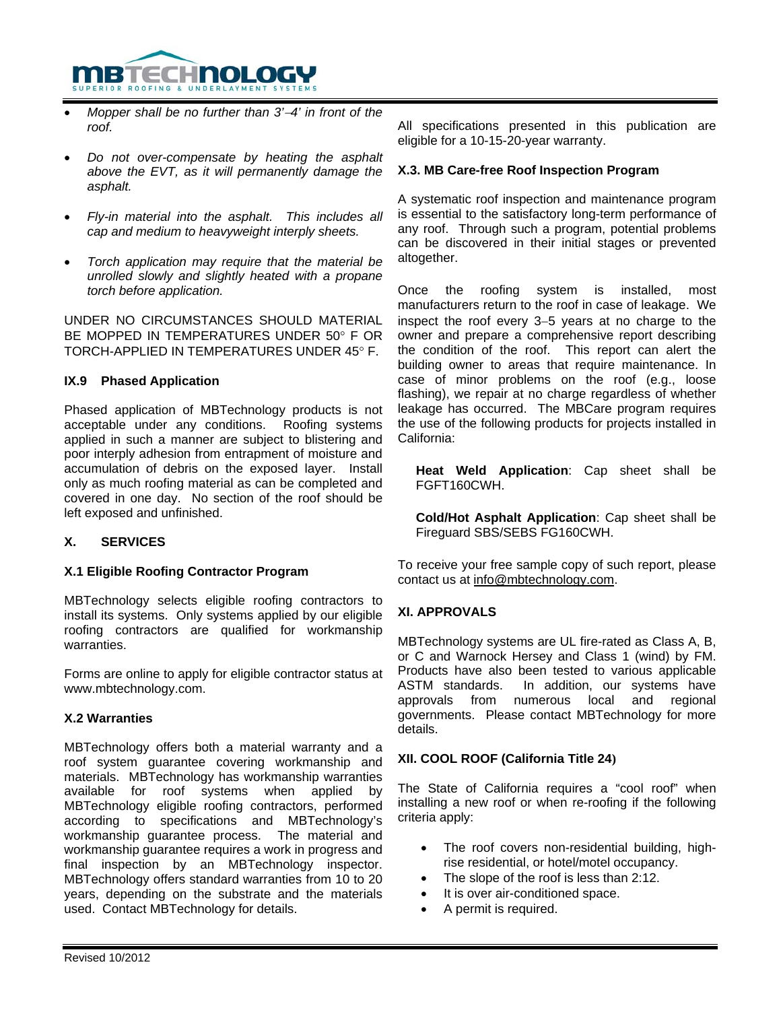

- *Mopper shall be no further than 3'*−*4' in front of the roof.*
- *Do not over-compensate by heating the asphalt above the EVT, as it will permanently damage the asphalt.*
- *Fly-in material into the asphalt. This includes all cap and medium to heavyweight interply sheets.*
- *Torch application may require that the material be unrolled slowly and slightly heated with a propane torch before application.*

UNDER NO CIRCUMSTANCES SHOULD MATERIAL BE MOPPED IN TEMPERATURES UNDER 50° F OR TORCH-APPLIED IN TEMPERATURES UNDER 45° F.

## **IX.9 Phased Application**

Phased application of MBTechnology products is not acceptable under any conditions. Roofing systems applied in such a manner are subject to blistering and poor interply adhesion from entrapment of moisture and accumulation of debris on the exposed layer. Install only as much roofing material as can be completed and covered in one day. No section of the roof should be left exposed and unfinished.

# **X. SERVICES**

# **X.1 Eligible Roofing Contractor Program**

MBTechnology selects eligible roofing contractors to install its systems. Only systems applied by our eligible roofing contractors are qualified for workmanship warranties.

Forms are online to apply for eligible contractor status at www.mbtechnology.com.

#### **X.2 Warranties**

MBTechnology offers both a material warranty and a roof system guarantee covering workmanship and materials. MBTechnology has workmanship warranties available for roof systems when applied by MBTechnology eligible roofing contractors, performed according to specifications and MBTechnology's workmanship guarantee process. The material and workmanship guarantee requires a work in progress and final inspection by an MBTechnology inspector. MBTechnology offers standard warranties from 10 to 20 years, depending on the substrate and the materials used. Contact MBTechnology for details.

All specifications presented in this publication are eligible for a 10-15-20-year warranty.

#### **X.3. MB Care-free Roof Inspection Program**

A systematic roof inspection and maintenance program is essential to the satisfactory long-term performance of any roof. Through such a program, potential problems can be discovered in their initial stages or prevented altogether.

Once the roofing system is installed, most manufacturers return to the roof in case of leakage. We inspect the roof every 3−5 years at no charge to the owner and prepare a comprehensive report describing the condition of the roof. This report can alert the building owner to areas that require maintenance. In case of minor problems on the roof (e.g., loose flashing), we repair at no charge regardless of whether leakage has occurred. The MBCare program requires the use of the following products for projects installed in California:

**Heat Weld Application**: Cap sheet shall be FGFT160CWH.

**Cold/Hot Asphalt Application**: Cap sheet shall be Fireguard SBS/SEBS FG160CWH.

To receive your free sample copy of such report, please contact us at info@mbtechnology.com.

# **XI. APPROVALS**

MBTechnology systems are UL fire-rated as Class A, B, or C and Warnock Hersey and Class 1 (wind) by FM. Products have also been tested to various applicable ASTM standards. In addition, our systems have approvals from numerous local and regional governments. Please contact MBTechnology for more details.

# **XII. COOL ROOF (California Title 24)**

The State of California requires a "cool roof" when installing a new roof or when re-roofing if the following criteria apply:

- The roof covers non-residential building, highrise residential, or hotel/motel occupancy.
- The slope of the roof is less than 2:12.
- It is over air-conditioned space.
- A permit is required.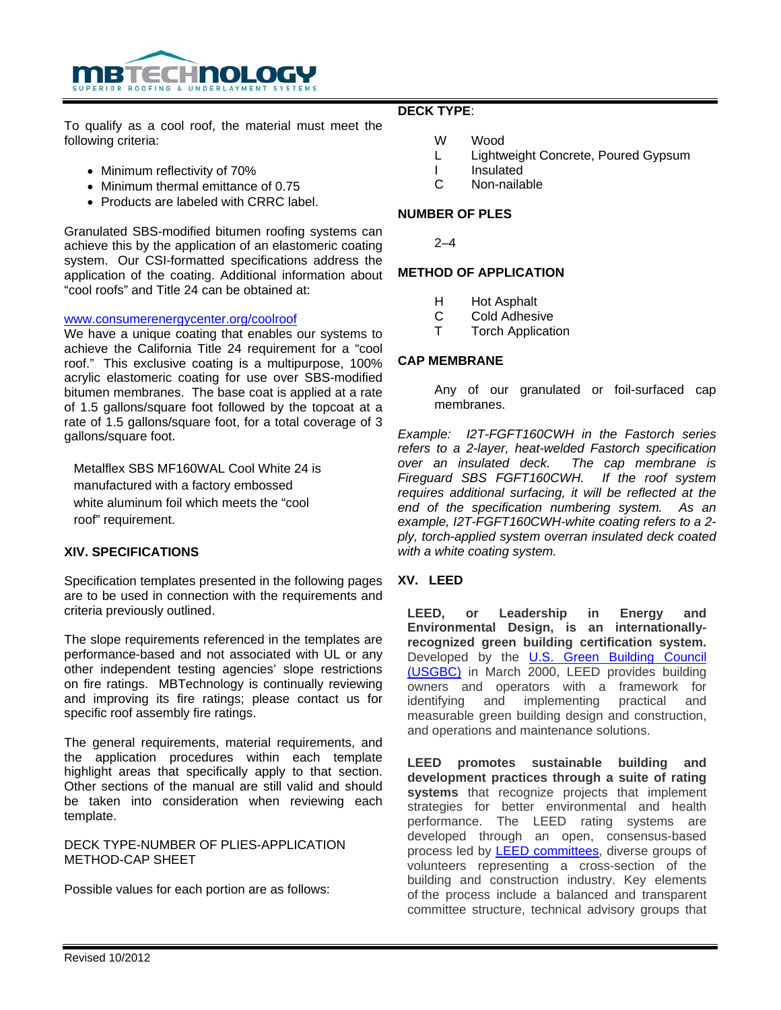

To qualify as a cool roof, the material must meet the following criteria:

- Minimum reflectivity of 70%
- Minimum thermal emittance of 0.75
- Products are labeled with CRRC label.

Granulated SBS-modified bitumen roofing systems can achieve this by the application of an elastomeric coating system. Our CSI-formatted specifications address the application of the coating. Additional information about "cool roofs" and Title 24 can be obtained at:

#### www.consumerenergycenter.org/coolroof

We have a unique coating that enables our systems to achieve the California Title 24 requirement for a "cool roof." This exclusive coating is a multipurpose, 100% acrylic elastomeric coating for use over SBS-modified bitumen membranes. The base coat is applied at a rate of 1.5 gallons/square foot followed by the topcoat at a rate of 1.5 gallons/square foot, for a total coverage of 3 gallons/square foot.

Metalflex SBS MF160WAL Cool White 24 is manufactured with a factory embossed white aluminum foil which meets the "cool roof" requirement.

#### **XIV. SPECIFICATIONS**

Specification templates presented in the following pages are to be used in connection with the requirements and criteria previously outlined.

The slope requirements referenced in the templates are performance-based and not associated with UL or any other independent testing agencies' slope restrictions on fire ratings. MBTechnology is continually reviewing and improving its fire ratings; please contact us for specific roof assembly fire ratings.

The general requirements, material requirements, and the application procedures within each template highlight areas that specifically apply to that section. Other sections of the manual are still valid and should be taken into consideration when reviewing each template.

## DECK TYPE-NUMBER OF PLIES-APPLICATION METHOD-CAP SHEET

Possible values for each portion are as follows:

## **DECK TYPE**:

- W Wood
- L Lightweight Concrete, Poured Gypsum
- I Insulated
- C Non-nailable

# **NUMBER OF PLES**

 $2 - 4$ 

## **METHOD OF APPLICATION**

- H Hot Asphalt
- C Cold Adhesive<br>T Torch Applicati
- **Torch Application**

## **CAP MEMBRANE**

Any of our granulated or foil-surfaced cap membranes.

*Example: I2T-FGFT160CWH in the Fastorch series refers to a 2-layer, heat-welded Fastorch specification*  The cap membrane is *Fireguard SBS FGFT160CWH. If the roof system requires additional surfacing, it will be reflected at the end of the specification numbering system. As an example, I2T-FGFT160CWH-white coating refers to a 2 ply, torch-applied system overran insulated deck coated with a white coating system.* 

#### **XV. LEED**

**LEED, or Leadership in Energy and Environmental Design, is an internationallyrecognized green building certification system.** Developed by the **U.S. Green Building Council** (USGBC) in March 2000, LEED provides building owners and operators with a framework for identifying and implementing practical and measurable green building design and construction, and operations and maintenance solutions.

**LEED promotes sustainable building and development practices through a suite of rating systems** that recognize projects that implement strategies for better environmental and health performance. The LEED rating systems are developed through an open, consensus-based process led by LEED committees, diverse groups of volunteers representing a cross-section of the building and construction industry. Key elements of the process include a balanced and transparent committee structure, technical advisory groups that